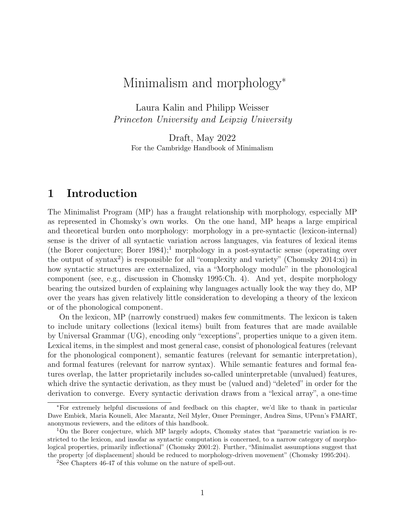# Minimalism and morphology<sup>∗</sup>

Laura Kalin and Philipp Weisser Princeton University and Leipzig University

Draft, May 2022 For the Cambridge Handbook of Minimalism

# 1 Introduction

The Minimalist Program (MP) has a fraught relationship with morphology, especially MP as represented in Chomsky's own works. On the one hand, MP heaps a large empirical and theoretical burden onto morphology: morphology in a pre-syntactic (lexicon-internal) sense is the driver of all syntactic variation across languages, via features of lexical items (the Borer conjecture; Borer  $1984$ );<sup>1</sup> morphology in a post-syntactic sense (operating over the output of syntax<sup>2</sup>) is responsible for all "complexity and variety" (Chomsky 2014:xi) in how syntactic structures are externalized, via a "Morphology module" in the phonological component (see, e.g., discussion in Chomsky 1995:Ch. 4). And yet, despite morphology bearing the outsized burden of explaining why languages actually look the way they do, MP over the years has given relatively little consideration to developing a theory of the lexicon or of the phonological component.

On the lexicon, MP (narrowly construed) makes few commitments. The lexicon is taken to include unitary collections (lexical items) built from features that are made available by Universal Grammar (UG), encoding only "exceptions", properties unique to a given item. Lexical items, in the simplest and most general case, consist of phonological features (relevant for the phonological component), semantic features (relevant for semantic interpretation), and formal features (relevant for narrow syntax). While semantic features and formal features overlap, the latter proprietarily includes so-called uninterpretable (unvalued) features, which drive the syntactic derivation, as they must be (valued and) "deleted" in order for the derivation to converge. Every syntactic derivation draws from a "lexical array", a one-time

<sup>∗</sup>For extremely helpful discussions of and feedback on this chapter, we'd like to thank in particular Dave Embick, Maria Kouneli, Alec Marantz, Neil Myler, Omer Preminger, Andrea Sims, UPenn's FMART, anonymous reviewers, and the editors of this handbook.

<sup>&</sup>lt;sup>1</sup>On the Borer conjecture, which MP largely adopts, Chomsky states that "parametric variation is restricted to the lexicon, and insofar as syntactic computation is concerned, to a narrow category of morphological properties, primarily inflectional" (Chomsky 2001:2). Further, "Minimalist assumptions suggest that the property [of displacement] should be reduced to morphology-driven movement" (Chomsky 1995:204).

<sup>2</sup>See Chapters 46-47 of this volume on the nature of spell-out.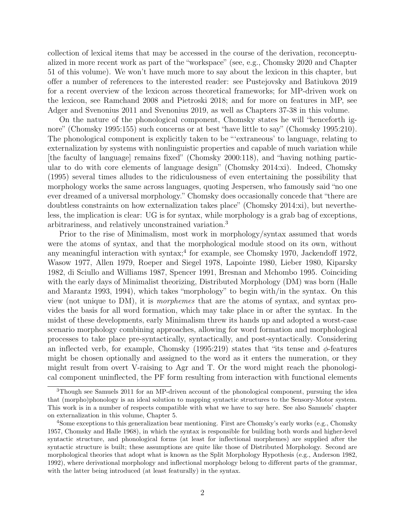collection of lexical items that may be accessed in the course of the derivation, reconceptualized in more recent work as part of the "workspace" (see, e.g., Chomsky 2020 and Chapter 51 of this volume). We won't have much more to say about the lexicon in this chapter, but offer a number of references to the interested reader: see Pustejovsky and Batiukova 2019 for a recent overview of the lexicon across theoretical frameworks; for MP-driven work on the lexicon, see Ramchand 2008 and Pietroski 2018; and for more on features in MP, see Adger and Svenonius 2011 and Svenonius 2019, as well as Chapters 37-38 in this volume.

On the nature of the phonological component, Chomsky states he will "henceforth ignore" (Chomsky 1995:155) such concerns or at best "have little to say" (Chomsky 1995:210). The phonological component is explicitly taken to be "'extraneous' to language, relating to externalization by systems with nonlinguistic properties and capable of much variation while [the faculty of language] remains fixed" (Chomsky 2000:118), and "having nothing particular to do with core elements of language design" (Chomsky 2014:xi). Indeed, Chomsky (1995) several times alludes to the ridiculousness of even entertaining the possibility that morphology works the same across languages, quoting Jespersen, who famously said "no one ever dreamed of a universal morphology." Chomsky does occasionally concede that "there are doubtless constraints on how externalization takes place" (Chomsky 2014:xi), but nevertheless, the implication is clear: UG is for syntax, while morphology is a grab bag of exceptions, arbitrariness, and relatively unconstrained variation.<sup>3</sup>

Prior to the rise of Minimalism, most work in morphology/syntax assumed that words were the atoms of syntax, and that the morphological module stood on its own, without any meaningful interaction with syntax;<sup>4</sup> for example, see Chomsky 1970, Jackendoff 1972, Wasow 1977, Allen 1979, Roeper and Siegel 1978, Lapointe 1980, Lieber 1980, Kiparsky 1982, di Sciullo and Williams 1987, Spencer 1991, Bresnan and Mchombo 1995. Coinciding with the early days of Minimalist theorizing, Distributed Morphology (DM) was born (Halle and Marantz 1993, 1994), which takes "morphology" to begin with/in the syntax. On this view (not unique to DM), it is morphemes that are the atoms of syntax, and syntax provides the basis for all word formation, which may take place in or after the syntax. In the midst of these developments, early Minimalism threw its hands up and adopted a worst-case scenario morphology combining approaches, allowing for word formation and morphological processes to take place pre-syntactically, syntactically, and post-syntactically. Considering an inflected verb, for example, Chomsky (1995:219) states that "its tense and  $\phi$ -features might be chosen optionally and assigned to the word as it enters the numeration, or they might result from overt V-raising to Agr and T. Or the word might reach the phonological component uninflected, the PF form resulting from interaction with functional elements

<sup>3</sup>Though see Samuels 2011 for an MP-driven account of the phonological component, pursuing the idea that (morpho)phonology is an ideal solution to mapping syntactic structures to the Sensory-Motor system. This work is in a number of respects compatible with what we have to say here. See also Samuels' chapter on externalization in this volume, Chapter 5.

<sup>4</sup>Some exceptions to this generalization bear mentioning. First are Chomsky's early works (e.g., Chomsky 1957, Chomsky and Halle 1968), in which the syntax is responsible for building both words and higher-level syntactic structure, and phonological forms (at least for inflectional morphemes) are supplied after the syntactic structure is built; these assumptions are quite like those of Distributed Morphology. Second are morphological theories that adopt what is known as the Split Morphology Hypothesis (e.g., Anderson 1982, 1992), where derivational morphology and inflectional morphology belong to different parts of the grammar, with the latter being introduced (at least featurally) in the syntax.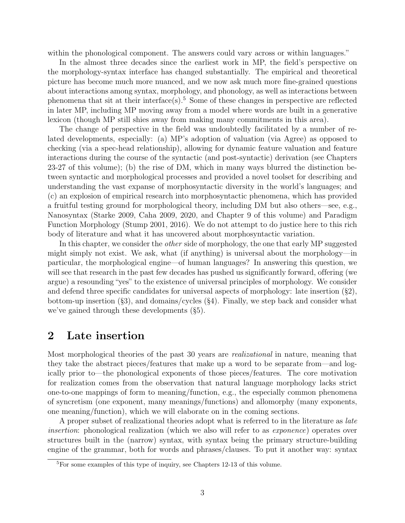within the phonological component. The answers could vary across or within languages."

In the almost three decades since the earliest work in MP, the field's perspective on the morphology-syntax interface has changed substantially. The empirical and theoretical picture has become much more nuanced, and we now ask much more fine-grained questions about interactions among syntax, morphology, and phonology, as well as interactions between phenomena that sit at their interface(s).<sup>5</sup> Some of these changes in perspective are reflected in later MP, including MP moving away from a model where words are built in a generative lexicon (though MP still shies away from making many commitments in this area).

The change of perspective in the field was undoubtedly facilitated by a number of related developments, especially: (a) MP's adoption of valuation (via Agree) as opposed to checking (via a spec-head relationship), allowing for dynamic feature valuation and feature interactions during the course of the syntactic (and post-syntactic) derivation (see Chapters 23-27 of this volume); (b) the rise of DM, which in many ways blurred the distinction between syntactic and morphological processes and provided a novel toolset for describing and understanding the vast expanse of morphosyntactic diversity in the world's languages; and (c) an explosion of empirical research into morphosyntactic phenomena, which has provided a fruitful testing ground for morphological theory, including DM but also others—see, e.g., Nanosyntax (Starke 2009, Caha 2009, 2020, and Chapter 9 of this volume) and Paradigm Function Morphology (Stump 2001, 2016). We do not attempt to do justice here to this rich body of literature and what it has uncovered about morphosyntactic variation.

In this chapter, we consider the *other* side of morphology, the one that early MP suggested might simply not exist. We ask, what (if anything) is universal about the morphology—in particular, the morphological engine—of human languages? In answering this question, we will see that research in the past few decades has pushed us significantly forward, offering (we argue) a resounding "yes" to the existence of universal principles of morphology. We consider and defend three specific candidates for universal aspects of morphology: late insertion (§2), bottom-up insertion (§3), and domains/cycles (§4). Finally, we step back and consider what we've gained through these developments (§5).

# 2 Late insertion

Most morphological theories of the past 30 years are realizational in nature, meaning that they take the abstract pieces/features that make up a word to be separate from—and logically prior to—the phonological exponents of those pieces/features. The core motivation for realization comes from the observation that natural language morphology lacks strict one-to-one mappings of form to meaning/function, e.g., the especially common phenomena of syncretism (one exponent, many meanings/functions) and allomorphy (many exponents, one meaning/function), which we will elaborate on in the coming sections.

A proper subset of realizational theories adopt what is referred to in the literature as *late* insertion: phonological realization (which we also will refer to as *exponence*) operates over structures built in the (narrow) syntax, with syntax being the primary structure-building engine of the grammar, both for words and phrases/clauses. To put it another way: syntax

<sup>5</sup>For some examples of this type of inquiry, see Chapters 12-13 of this volume.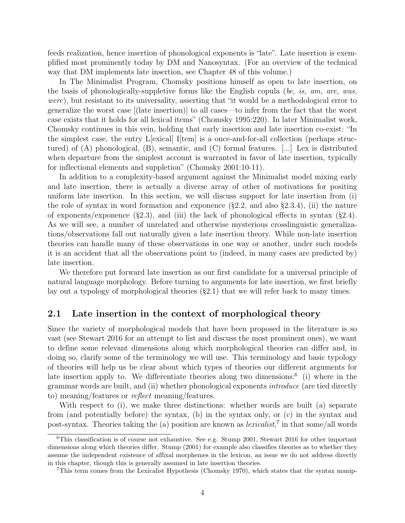feeds realization, hence insertion of phonological exponents is "late". Late insertion is exemplified most prominently today by DM and Nanosyntax. (For an overview of the technical way that DM implements late insertion, see Chapter 48 of this volume.)

In The Minimalist Program, Chomsky positions himself as open to late insertion, on the basis of phonologically-suppletive forms like the English copula (be, is, am, are, was, were), but resistant to its universality, asserting that "it would be a methodological error to generalize the worst case [(late insertion)] to all cases—to infer from the fact that the worst case exists that it holds for all lexical items" (Chomsky 1995:220). In later Minimalist work, Chomsky continues in this vein, holding that early insertion and late insertion co-exist: "In the simplest case, the entry L[exical] I[tem] is a once-and-for-all collection (perhaps structured) of (A) phonological, (B), semantic, and (C) formal features. [...] Lex is distributed when departure from the simplest account is warranted in favor of late insertion, typically for inflectional elements and suppletion" (Chomsky 2001:10-11).

In addition to a complexity-based argument against the Minimalist model mixing early and late insertion, there is actually a diverse array of other of motivations for positing uniform late insertion. In this section, we will discuss support for late insertion from (i) the role of syntax in word formation and exponence (§2.2, and also §2.3.4), (ii) the nature of exponents/exponence  $(\S 2.3)$ , and (iii) the lack of phonological effects in syntax  $(\S 2.4)$ . As we will see, a number of unrelated and otherwise mysterious crosslinguistic generalizations/observations fall out naturally given a late insertion theory. While non-late insertion theories can handle many of these observations in one way or another, under such models it is an accident that all the observations point to (indeed, in many cases are predicted by) late insertion.

We therefore put forward late insertion as our first candidate for a universal principle of natural language morphology. Before turning to arguments for late insertion, we first briefly lay out a typology of morphological theories (§2.1) that we will refer back to many times.

## 2.1 Late insertion in the context of morphological theory

Since the variety of morphological models that have been proposed in the literature is so vast (see Stewart 2016 for an attempt to list and discuss the most prominent ones), we want to define some relevant dimensions along which morphological theories can differ and, in doing so, clarify some of the terminology we will use. This terminology and basic typology of theories will help us be clear about which types of theories our different arguments for late insertion apply to. We differentiate theories along two dimensions:<sup>6</sup> (i) where in the grammar words are built, and (ii) whether phonological exponents introduce (are tied directly to) meaning/features or reflect meaning/features.

With respect to (i), we make three distinctions: whether words are built (a) separate from (and potentially before) the syntax, (b) in the syntax only, or (c) in the syntax and post-syntax. Theories taking the (a) position are known as *lexicalist*,<sup>7</sup> in that some/all words

<sup>&</sup>lt;sup>6</sup>This classification is of course not exhaustive. See e.g. Stump 2001, Stewart 2016 for other important dimensions along which theories differ. Stump (2001) for example also classifies theories as to whether they assume the independent existence of affixal morphemes in the lexicon, an issue we do not address directly in this chapter, though this is generally assumed in late insertion theories.

<sup>7</sup>This term comes from the Lexicalist Hypothesis (Chomsky 1970), which states that the syntax manip-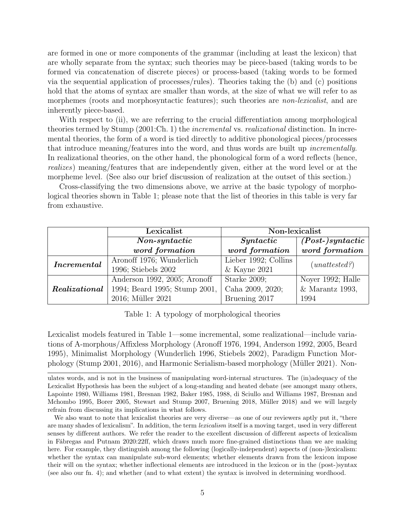are formed in one or more components of the grammar (including at least the lexicon) that are wholly separate from the syntax; such theories may be piece-based (taking words to be formed via concatenation of discrete pieces) or process-based (taking words to be formed via the sequential application of processes/rules). Theories taking the (b) and (c) positions hold that the atoms of syntax are smaller than words, at the size of what we will refer to as morphemes (roots and morphosyntactic features); such theories are *non-lexicalist*, and are inherently piece-based.

With respect to (ii), we are referring to the crucial differentiation among morphological theories termed by Stump (2001:Ch. 1) the *incremental* vs. *realizational* distinction. In incremental theories, the form of a word is tied directly to additive phonological pieces/processes that introduce meaning/features into the word, and thus words are built up incrementally. In realizational theories, on the other hand, the phonological form of a word reflects (hence, realizes) meaning/features that are independently given, either at the word level or at the morpheme level. (See also our brief discussion of realization at the outset of this section.)

Cross-classifying the two dimensions above, we arrive at the basic typology of morphological theories shown in Table 1; please note that the list of theories in this table is very far from exhaustive.

|                   | Lexicalist                    | Non-lexicalist       |                     |  |
|-------------------|-------------------------------|----------------------|---------------------|--|
|                   | $Non-syntactic$               | Syntactic            | $(Post-) syntactic$ |  |
|                   | word formation                | word formation       | word formation      |  |
| $\it Incremental$ | Aronoff 1976; Wunderlich      | Lieber 1992; Collins |                     |  |
|                   | 1996; Stiebels 2002           | $&$ Kayne 2021       | (unattested?)       |  |
|                   | Anderson 1992, 2005; Aronoff  | Starke $2009$ ;      | Noyer 1992; Halle   |  |
| Realizational     | 1994; Beard 1995; Stump 2001, | Caha 2009, 2020;     | $&$ Marantz 1993,   |  |
|                   | 2016; Müller 2021             | Bruening 2017        | 1994                |  |

Table 1: A typology of morphological theories

Lexicalist models featured in Table 1—some incremental, some realizational—include variations of A-morphous/Affixless Morphology (Aronoff 1976, 1994, Anderson 1992, 2005, Beard 1995), Minimalist Morphology (Wunderlich 1996, Stiebels 2002), Paradigm Function Morphology (Stump 2001, 2016), and Harmonic Serialism-based morphology (Müller 2021). Non-

ulates words, and is not in the business of manipulating word-internal structures. The (in)adequacy of the Lexicalist Hypothesis has been the subject of a long-standing and heated debate (see amongst many others, Lapointe 1980, Williams 1981, Bresnan 1982, Baker 1985, 1988, di Sciullo and Williams 1987, Bresnan and Mchombo 1995, Borer 2005, Stewart and Stump 2007, Bruening 2018, Müller 2018) and we will largely refrain from discussing its implications in what follows.

We also want to note that lexicalist theories are very diverse—as one of our reviewers aptly put it, "there are many shades of lexicalism". In addition, the term *lexicalism* itself is a moving target, used in very different senses by different authors. We refer the reader to the excellent discussion of different aspects of lexicalism in Fábregas and Putnam 2020:22ff, which draws much more fine-grained distinctions than we are making here. For example, they distinguish among the following (logically-independent) aspects of (non-)lexicalism: whether the syntax can manipulate sub-word elements; whether elements drawn from the lexicon impose their will on the syntax; whether inflectional elements are introduced in the lexicon or in the (post-)syntax (see also our fn. 4); and whether (and to what extent) the syntax is involved in determining wordhood.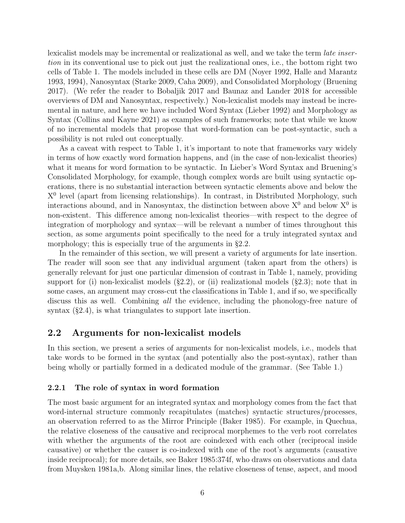lexicalist models may be incremental or realizational as well, and we take the term late insertion in its conventional use to pick out just the realizational ones, i.e., the bottom right two cells of Table 1. The models included in these cells are DM (Noyer 1992, Halle and Marantz 1993, 1994), Nanosyntax (Starke 2009, Caha 2009), and Consolidated Morphology (Bruening 2017). (We refer the reader to Bobaljik 2017 and Baunaz and Lander 2018 for accessible overviews of DM and Nanosyntax, respectively.) Non-lexicalist models may instead be incremental in nature, and here we have included Word Syntax (Lieber 1992) and Morphology as Syntax (Collins and Kayne 2021) as examples of such frameworks; note that while we know of no incremental models that propose that word-formation can be post-syntactic, such a possibility is not ruled out conceptually.

As a caveat with respect to Table 1, it's important to note that frameworks vary widely in terms of how exactly word formation happens, and (in the case of non-lexicalist theories) what it means for word formation to be syntactic. In Lieber's Word Syntax and Bruening's Consolidated Morphology, for example, though complex words are built using syntactic operations, there is no substantial interaction between syntactic elements above and below the X<sup>0</sup> level (apart from licensing relationships). In contrast, in Distributed Morphology, such interactions abound, and in Nanosyntax, the distinction between above  $X^0$  and below  $X^0$  is non-existent. This difference among non-lexicalist theories—with respect to the degree of integration of morphology and syntax—will be relevant a number of times throughout this section, as some arguments point specifically to the need for a truly integrated syntax and morphology; this is especially true of the arguments in  $\S 2.2$ .

In the remainder of this section, we will present a variety of arguments for late insertion. The reader will soon see that any individual argument (taken apart from the others) is generally relevant for just one particular dimension of contrast in Table 1, namely, providing support for (i) non-lexicalist models  $(\S2.2)$ , or (ii) realizational models  $(\S2.3)$ ; note that in some cases, an argument may cross-cut the classifications in Table 1, and if so, we specifically discuss this as well. Combining all the evidence, including the phonology-free nature of syntax  $(\S2.4)$ , is what triangulates to support late insertion.

#### 2.2 Arguments for non-lexicalist models

In this section, we present a series of arguments for non-lexicalist models, i.e., models that take words to be formed in the syntax (and potentially also the post-syntax), rather than being wholly or partially formed in a dedicated module of the grammar. (See Table 1.)

#### 2.2.1 The role of syntax in word formation

The most basic argument for an integrated syntax and morphology comes from the fact that word-internal structure commonly recapitulates (matches) syntactic structures/processes, an observation referred to as the Mirror Principle (Baker 1985). For example, in Quechua, the relative closeness of the causative and reciprocal morphemes to the verb root correlates with whether the arguments of the root are coindexed with each other (reciprocal inside causative) or whether the causer is co-indexed with one of the root's arguments (causative inside reciprocal); for more details, see Baker 1985:374f, who draws on observations and data from Muysken 1981a,b. Along similar lines, the relative closeness of tense, aspect, and mood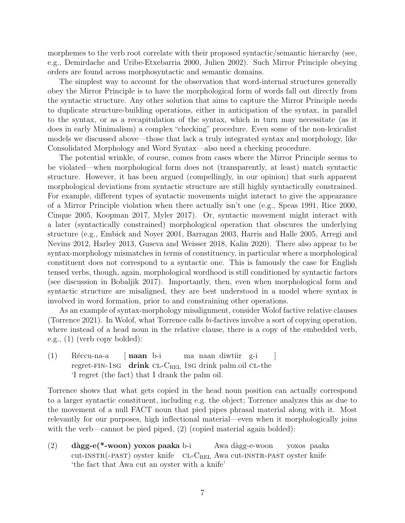morphemes to the verb root correlate with their proposed syntactic/semantic hierarchy (see, e.g., Demirdache and Uribe-Etxebarria 2000, Julien 2002). Such Mirror Principle obeying orders are found across morphosyntactic and semantic domains.

The simplest way to account for the observation that word-internal structures generally obey the Mirror Principle is to have the morphological form of words fall out directly from the syntactic structure. Any other solution that aims to capture the Mirror Principle needs to duplicate structure-building operations, either in anticipation of the syntax, in parallel to the syntax, or as a recapitulation of the syntax, which in turn may necessitate (as it does in early Minimalism) a complex "checking" procedure. Even some of the non-lexicalist models we discussed above—those that lack a truly integrated syntax and morphology, like Consolidated Morphology and Word Syntax—also need a checking procedure.

The potential wrinkle, of course, comes from cases where the Mirror Principle seems to be violated—when morphological form does not (transparently, at least) match syntactic structure. However, it has been argued (compellingly, in our opinion) that such apparent morphological deviations from syntactic structure are still highly syntactically constrained. For example, different types of syntactic movements might interact to give the appearance of a Mirror Principle violation when there actually isn't one (e.g., Speas 1991, Rice 2000, Cinque 2005, Koopman 2017, Myler 2017). Or, syntactic movement might interact with a later (syntactically constrained) morphological operation that obscures the underlying structure (e.g., Embick and Noyer 2001, Barragan 2003, Harris and Halle 2005, Arregi and Nevins 2012, Harley 2013, Guseva and Weisser 2018, Kalin 2020). There also appear to be syntax-morphology mismatches in terms of constituency, in particular where a morphological constituent does not correspond to a syntactic one. This is famously the case for English tensed verbs, though, again, morphological wordhood is still conditioned by syntactic factors (see discussion in Bobaljik 2017). Importantly, then, even when morphological form and syntactic structure are misaligned, they are best understood in a model where syntax is involved in word formation, prior to and constraining other operations.

As an example of syntax-morphology misalignment, consider Wolof factive relative clauses (Torrence 2021). In Wolof, what Torrence calls bi-factives involve a sort of copying operation, where instead of a head noun in the relative clause, there is a copy of the embedded verb, e.g., (1) (verb copy bolded):

(1) Réccu-na-a regret-fin-1sg [ naan b-i drink CL-C<sub>REL</sub> 1SG drink palm.oil CL-the ma naan diwtiir g-i ] 'I regret (the fact) that I drank the palm oil.

Torrence shows that what gets copied in the head noun position can actually correspond to a larger syntactic constituent, including e.g. the object; Torrence analyzes this as due to the movement of a null FACT noun that pied pipes phrasal material along with it. Most relevantly for our purposes, high inflectional material—even when it morphologically joins with the verb—cannot be pied piped, (2) (copied material again bolded):

(2) dàgg-e(\*-woon) yoxos paaka b-i cut-INSTR(-PAST) oyster knife CL-C<sub>REL</sub> Awa cut-INSTR-PAST oyster knife Awa dàgg-e-woon yoxos paaka 'the fact that Awa cut an oyster with a knife'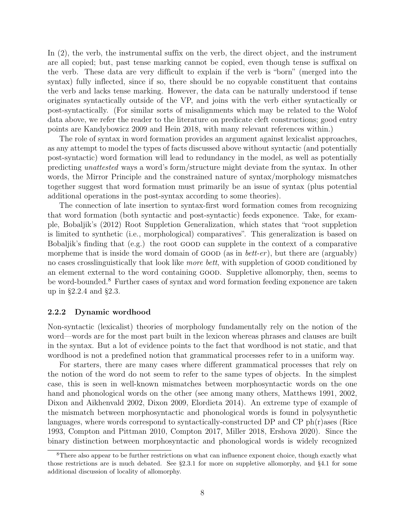In (2), the verb, the instrumental suffix on the verb, the direct object, and the instrument are all copied; but, past tense marking cannot be copied, even though tense is suffixal on the verb. These data are very difficult to explain if the verb is "born" (merged into the syntax) fully inflected, since if so, there should be no copyable constituent that contains the verb and lacks tense marking. However, the data can be naturally understood if tense originates syntactically outside of the VP, and joins with the verb either syntactically or post-syntactically. (For similar sorts of misalignments which may be related to the Wolof data above, we refer the reader to the literature on predicate cleft constructions; good entry points are Kandybowicz 2009 and Hein 2018, with many relevant references within.)

The role of syntax in word formation provides an argument against lexicalist approaches, as any attempt to model the types of facts discussed above without syntactic (and potentially post-syntactic) word formation will lead to redundancy in the model, as well as potentially predicting unattested ways a word's form/structure might deviate from the syntax. In other words, the Mirror Principle and the constrained nature of syntax/morphology mismatches together suggest that word formation must primarily be an issue of syntax (plus potential additional operations in the post-syntax according to some theories).

The connection of late insertion to syntax-first word formation comes from recognizing that word formation (both syntactic and post-syntactic) feeds exponence. Take, for example, Bobaljik's (2012) Root Suppletion Generalization, which states that "root suppletion is limited to synthetic (i.e., morphological) comparatives". This generalization is based on Bobaljik's finding that (e.g.) the root good can supplete in the context of a comparative morpheme that is inside the word domain of GOOD (as in *bett-er*), but there are (arguably) no cases crosslinguistically that look like *more bett*, with suppletion of GOOD conditioned by an element external to the word containing good. Suppletive allomorphy, then, seems to be word-bounded.<sup>8</sup> Further cases of syntax and word formation feeding exponence are taken up in §2.2.4 and §2.3.

#### 2.2.2 Dynamic wordhood

Non-syntactic (lexicalist) theories of morphology fundamentally rely on the notion of the word—words are for the most part built in the lexicon whereas phrases and clauses are built in the syntax. But a lot of evidence points to the fact that wordhood is not static, and that wordhood is not a predefined notion that grammatical processes refer to in a uniform way.

For starters, there are many cases where different grammatical processes that rely on the notion of the word do not seem to refer to the same types of objects. In the simplest case, this is seen in well-known mismatches between morphosyntactic words on the one hand and phonological words on the other (see among many others, Matthews 1991, 2002, Dixon and Aikhenvald 2002, Dixon 2009, Elordieta 2014). An extreme type of example of the mismatch between morphosyntactic and phonological words is found in polysynthetic languages, where words correspond to syntactically-constructed DP and  $\rm CP~ph(r)$ ases (Rice 1993, Compton and Pittman 2010, Compton 2017, Miller 2018, Ershova 2020). Since the binary distinction between morphosyntactic and phonological words is widely recognized

<sup>&</sup>lt;sup>8</sup>There also appear to be further restrictions on what can influence exponent choice, though exactly what those restrictions are is much debated. See §2.3.1 for more on suppletive allomorphy, and §4.1 for some additional discussion of locality of allomorphy.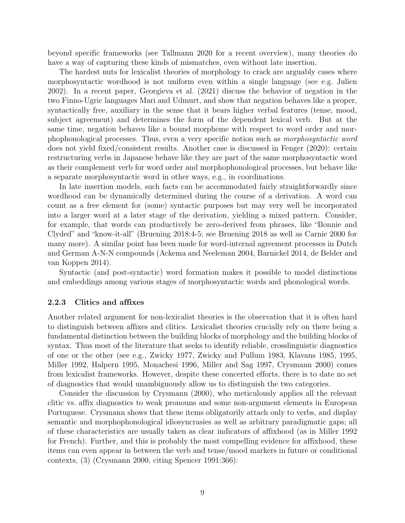beyond specific frameworks (see Tallmann 2020 for a recent overview), many theories do have a way of capturing these kinds of mismatches, even without late insertion.

The hardest nuts for lexicalist theories of morphology to crack are arguably cases where morphosyntactic wordhood is not uniform even within a single language (see e.g. Julien 2002). In a recent paper, Georgieva et al. (2021) discuss the behavior of negation in the two Finno-Ugric languages Mari and Udmurt, and show that negation behaves like a proper, syntactically free, auxiliary in the sense that it bears higher verbal features (tense, mood, subject agreement) and determines the form of the dependent lexical verb. But at the same time, negation behaves like a bound morpheme with respect to word order and morphophonological processes. Thus, even a very specific notion such as morphosyntactic word does not yield fixed/consistent results. Another case is discussed in Fenger (2020): certain restructuring verbs in Japanese behave like they are part of the same morphosyntactic word as their complement verb for word order and morphophonological processes, but behave like a separate morphosyntactic word in other ways, e.g., in coordinations.

In late insertion models, such facts can be accommodated fairly straightforwardly since wordhood can be dynamically determined during the course of a derivation. A word can count as a free element for (some) syntactic purposes but may very well be incorporated into a larger word at a later stage of the derivation, yielding a mixed pattern. Consider, for example, that words can productively be zero-derived from phrases, like "Bonnie and Clyded" and "know-it-all" (Bruening 2018:4-5; see Bruening 2018 as well as Carnie 2000 for many more). A similar point has been made for word-internal agreement processes in Dutch and German A-N-N compounds (Ackema and Neeleman 2004, Barnickel 2014, de Belder and van Koppen 2014).

Syntactic (and post-syntactic) word formation makes it possible to model distinctions and embeddings among various stages of morphosyntactic words and phonological words.

#### 2.2.3 Clitics and affixes

Another related argument for non-lexicalist theories is the observation that it is often hard to distinguish between affixes and clitics. Lexicalist theories crucially rely on there being a fundamental distinction between the building blocks of morphology and the building blocks of syntax. Thus most of the literature that seeks to identify reliable, crosslinguistic diagnostics of one or the other (see e.g., Zwicky 1977, Zwicky and Pullum 1983, Klavans 1985, 1995, Miller 1992, Halpern 1995, Monachesi 1996, Miller and Sag 1997, Crysmann 2000) comes from lexicalist frameworks. However, despite these concerted efforts, there is to date no set of diagnostics that would unambiguously allow us to distinguish the two categories.

Consider the discussion by Crysmann (2000), who meticulously applies all the relevant clitic vs. affix diagnostics to weak pronouns and some non-argument elements in European Portuguese. Crysmann shows that these items obligatorily attach only to verbs, and display semantic and morphophonological idiosyncrasies as well as arbitrary paradigmatic gaps; all of these characteristics are usually taken as clear indicators of affixhood (as in Miller 1992 for French). Further, and this is probably the most compelling evidence for affixhood, these items can even appear in between the verb and tense/mood markers in future or conditional contexts, (3) (Crysmann 2000, citing Spencer 1991:366):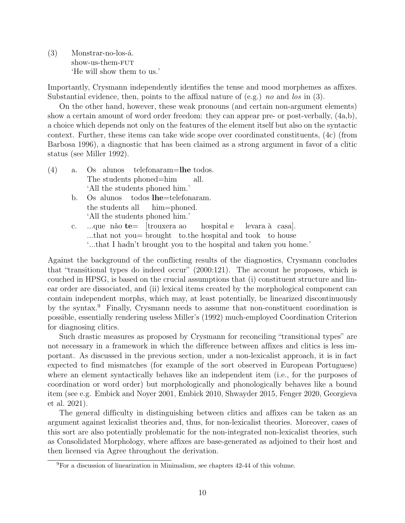(3) Monstrar-no-los-á. show-us-them-fut 'He will show them to us.'

Importantly, Crysmann independently identifies the tense and mood morphemes as affixes. Substantial evidence, then, points to the affixal nature of  $(e.g.)$  no and los in  $(3)$ .

On the other hand, however, these weak pronouns (and certain non-argument elements) show a certain amount of word order freedom: they can appear pre- or post-verbally, (4a,b), a choice which depends not only on the features of the element itself but also on the syntactic context. Further, these items can take wide scope over coordinated constituents, (4c) (from Barbosa 1996), a diagnostic that has been claimed as a strong argument in favor of a clitic status (see Miller 1992).

- $(4)$  a. The students phoned=him alunos telefonaram=lhe todos. all. 'All the students phoned him.'
	- b. Os alunos the students all todos lhe=telefonaram. him=phoned. 'All the students phoned him.'
	- c. ...que não **te** [trouxera ao ...that not you= brought to.the hospital and took to house hospital e levara à casa]. '...that I hadn't brought you to the hospital and taken you home.'

Against the background of the conflicting results of the diagnostics, Crysmann concludes that "transitional types do indeed occur" (2000:121). The account he proposes, which is couched in HPSG, is based on the crucial assumptions that (i) constituent structure and linear order are dissociated, and (ii) lexical items created by the morphological component can contain independent morphs, which may, at least potentially, be linearized discontinuously by the syntax.<sup>9</sup> Finally, Crysmann needs to assume that non-constituent coordination is possible, essentially rendering useless Miller's (1992) much-employed Coordination Criterion for diagnosing clitics.

Such drastic measures as proposed by Crysmann for reconciling "transitional types" are not necessary in a framework in which the difference between affixes and clitics is less important. As discussed in the previous section, under a non-lexicalist approach, it is in fact expected to find mismatches (for example of the sort observed in European Portuguese) where an element syntactically behaves like an independent item (i.e., for the purposes of coordination or word order) but morphologically and phonologically behaves like a bound item (see e.g. Embick and Noyer 2001, Embick 2010, Shwayder 2015, Fenger 2020, Georgieva et al. 2021).

The general difficulty in distinguishing between clitics and affixes can be taken as an argument against lexicalist theories and, thus, for non-lexicalist theories. Moreover, cases of this sort are also potentially problematic for the non-integrated non-lexicalist theories, such as Consolidated Morphology, where affixes are base-generated as adjoined to their host and then licensed via Agree throughout the derivation.

<sup>9</sup>For a discussion of linearization in Minimalism, see chapters 42-44 of this volume.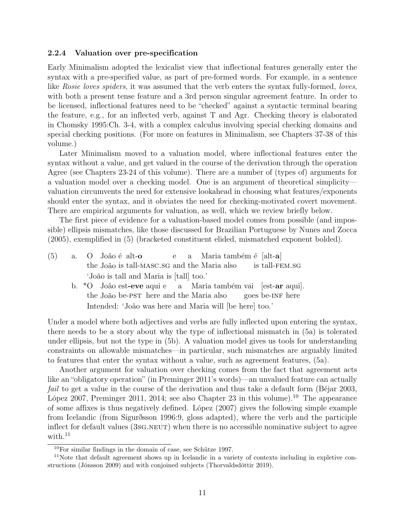#### 2.2.4 Valuation over pre-specification

Early Minimalism adopted the lexicalist view that inflectional features generally enter the syntax with a pre-specified value, as part of pre-formed words. For example, in a sentence like Rosie loves spiders, it was assumed that the verb enters the syntax fully-formed, loves, with both a present tense feature and a 3rd person singular agreement feature. In order to be licensed, inflectional features need to be "checked" against a syntactic terminal bearing the feature, e.g., for an inflected verb, against T and Agr. Checking theory is elaborated in Chomsky 1995:Ch. 3-4, with a complex calculus involving special checking domains and special checking positions. (For more on features in Minimalism, see Chapters 37-38 of this volume.)

Later Minimalism moved to a valuation model, where inflectional features enter the syntax without a value, and get valued in the course of the derivation through the operation Agree (see Chapters 23-24 of this volume). There are a number of (types of) arguments for a valuation model over a checking model. One is an argument of theoretical simplicity valuation circumvents the need for extensive lookahead in choosing what features/exponents should enter the syntax, and it obviates the need for checking-motivated covert movement. There are empirical arguments for valuation, as well, which we review briefly below.

The first piece of evidence for a valuation-based model comes from possible (and impossible) ellipsis mismatches, like those discussed for Brazilian Portuguese by Nunes and Zocca (2005), exemplified in (5) (bracketed constituent elided, mismatched exponent bolded).

- $(5)$  a. the João is tall-MASC.SG and the Maria also João é alt-o e a Maria também é [alt-**a**] is tall-fem.sg 'João is tall and Maria is [tall] too.'
	- b. \*O João est-eve aqui e the João be-PST here and the Maria also a Maria também vai [est-ar aqui]. goes be-INF here Intended: 'João was here and Maria will [be here] too.'

Under a model where both adjectives and verbs are fully inflected upon entering the syntax, there needs to be a story about why the type of inflectional mismatch in (5a) is tolerated under ellipsis, but not the type in (5b). A valuation model gives us tools for understanding constraints on allowable mismatches—in particular, such mismatches are arguably limited to features that enter the syntax without a value, such as agreement features, (5a).

Another argument for valuation over checking comes from the fact that agreement acts like an "obligatory operation" (in Preminger 2011's words)—an unvalued feature can actually fail to get a value in the course of the derivation and thus take a default form (Béjar 2003, López 2007, Preminger 2011, 2014; see also Chapter 23 in this volume).<sup>10</sup> The appearance of some affixes is thus negatively defined. López (2007) gives the following simple example from Icelandic (from Sigurðsson 1996:9, gloss adapted), where the verb and the participle inflect for default values (3sg. NEUT) when there is no accessible nominative subject to agree with. $11$ 

 $10$ For similar findings in the domain of case, see Schütze 1997.

<sup>&</sup>lt;sup>11</sup>Note that default agreement shows up in Icelandic in a variety of contexts including in expletive constructions (Jónsson 2009) and with conjoined subjects (Thorvaldsdóttir 2019).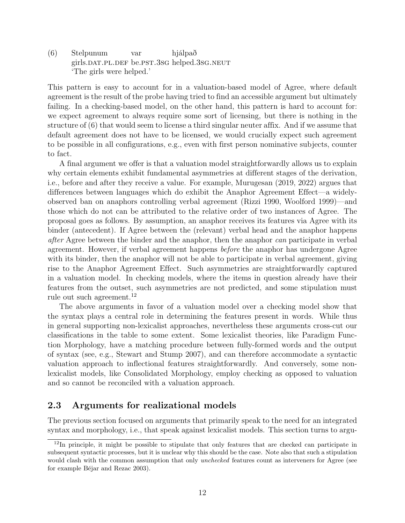(6) Stelpunum girls.DAT.PL.DEF be.PST.3SG helped.3SG.NEUT var hjálpað 'The girls were helped.'

This pattern is easy to account for in a valuation-based model of Agree, where default agreement is the result of the probe having tried to find an accessible argument but ultimately failing. In a checking-based model, on the other hand, this pattern is hard to account for: we expect agreement to always require some sort of licensing, but there is nothing in the structure of (6) that would seem to license a third singular neuter affix. And if we assume that default agreement does not have to be licensed, we would crucially expect such agreement to be possible in all configurations, e.g., even with first person nominative subjects, counter to fact.

A final argument we offer is that a valuation model straightforwardly allows us to explain why certain elements exhibit fundamental asymmetries at different stages of the derivation, i.e., before and after they receive a value. For example, Murugesan (2019, 2022) argues that differences between languages which do exhibit the Anaphor Agreement Effect—a widelyobserved ban on anaphors controlling verbal agreement (Rizzi 1990, Woolford 1999)—and those which do not can be attributed to the relative order of two instances of Agree. The proposal goes as follows. By assumption, an anaphor receives its features via Agree with its binder (antecedent). If Agree between the (relevant) verbal head and the anaphor happens after Agree between the binder and the anaphor, then the anaphor can participate in verbal agreement. However, if verbal agreement happens before the anaphor has undergone Agree with its binder, then the anaphor will not be able to participate in verbal agreement, giving rise to the Anaphor Agreement Effect. Such asymmetries are straightforwardly captured in a valuation model. In checking models, where the items in question already have their features from the outset, such asymmetries are not predicted, and some stipulation must rule out such agreement.<sup>12</sup>

The above arguments in favor of a valuation model over a checking model show that the syntax plays a central role in determining the features present in words. While thus in general supporting non-lexicalist approaches, nevertheless these arguments cross-cut our classifications in the table to some extent. Some lexicalist theories, like Paradigm Function Morphology, have a matching procedure between fully-formed words and the output of syntax (see, e.g., Stewart and Stump 2007), and can therefore accommodate a syntactic valuation approach to inflectional features straightforwardly. And conversely, some nonlexicalist models, like Consolidated Morphology, employ checking as opposed to valuation and so cannot be reconciled with a valuation approach.

## 2.3 Arguments for realizational models

The previous section focused on arguments that primarily speak to the need for an integrated syntax and morphology, i.e., that speak against lexicalist models. This section turns to argu-

<sup>&</sup>lt;sup>12</sup>In principle, it might be possible to stipulate that only features that are checked can participate in subsequent syntactic processes, but it is unclear why this should be the case. Note also that such a stipulation would clash with the common assumption that only *unchecked* features count as interveners for Agree (see for example Béjar and Rezac 2003).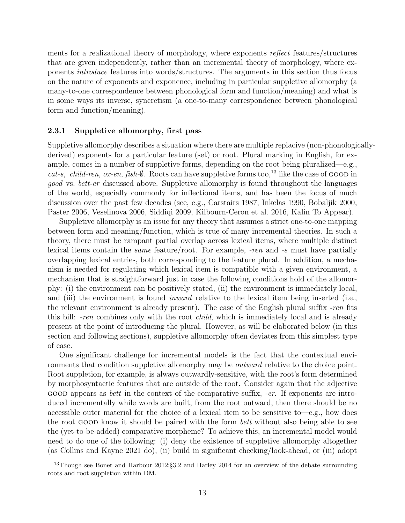ments for a realizational theory of morphology, where exponents reflect features/structures that are given independently, rather than an incremental theory of morphology, where exponents introduce features into words/structures. The arguments in this section thus focus on the nature of exponents and exponence, including in particular suppletive allomorphy (a many-to-one correspondence between phonological form and function/meaning) and what is in some ways its inverse, syncretism (a one-to-many correspondence between phonological form and function/meaning).

#### 2.3.1 Suppletive allomorphy, first pass

Suppletive allomorphy describes a situation where there are multiple replacive (non-phonologicallyderived) exponents for a particular feature (set) or root. Plural marking in English, for example, comes in a number of suppletive forms, depending on the root being pluralized—e.g., cat-s, child-ren, ox-en, fish- $\emptyset$ . Roots can have suppletive forms too,<sup>13</sup> like the case of GOOD in good vs. bett-er discussed above. Suppletive allomorphy is found throughout the languages of the world, especially commonly for inflectional items, and has been the focus of much discussion over the past few decades (see, e.g., Carstairs 1987, Inkelas 1990, Bobaljik 2000, Paster 2006, Veselinova 2006, Siddiqi 2009, Kilbourn-Ceron et al. 2016, Kalin To Appear).

Suppletive allomorphy is an issue for any theory that assumes a strict one-to-one mapping between form and meaning/function, which is true of many incremental theories. In such a theory, there must be rampant partial overlap across lexical items, where multiple distinct lexical items contain the same feature/root. For example, -ren and -s must have partially overlapping lexical entries, both corresponding to the feature plural. In addition, a mechanism is needed for regulating which lexical item is compatible with a given environment, a mechanism that is straightforward just in case the following conditions hold of the allomorphy: (i) the environment can be positively stated, (ii) the environment is immediately local, and (iii) the environment is found *inward* relative to the lexical item being inserted (i.e., the relevant environment is already present). The case of the English plural suffix -ren fits this bill: -ren combines only with the root *child*, which is immediately local and is already present at the point of introducing the plural. However, as will be elaborated below (in this section and following sections), suppletive allomorphy often deviates from this simplest type of case.

One significant challenge for incremental models is the fact that the contextual environments that condition suppletive allomorphy may be outward relative to the choice point. Root suppletion, for example, is always outwardly-sensitive, with the root's form determined by morphosyntactic features that are outside of the root. Consider again that the adjective GOOD appears as *bett* in the context of the comparative suffix,  $-er$ . If exponents are introduced incrementally while words are built, from the root outward, then there should be no accessible outer material for the choice of a lexical item to be sensitive to—e.g., how does the root good know it should be paired with the form bett without also being able to see the (yet-to-be-added) comparative morpheme? To achieve this, an incremental model would need to do one of the following: (i) deny the existence of suppletive allomorphy altogether (as Collins and Kayne 2021 do), (ii) build in significant checking/look-ahead, or (iii) adopt

<sup>&</sup>lt;sup>13</sup>Though see Bonet and Harbour 2012:§3.2 and Harley 2014 for an overview of the debate surrounding roots and root suppletion within DM.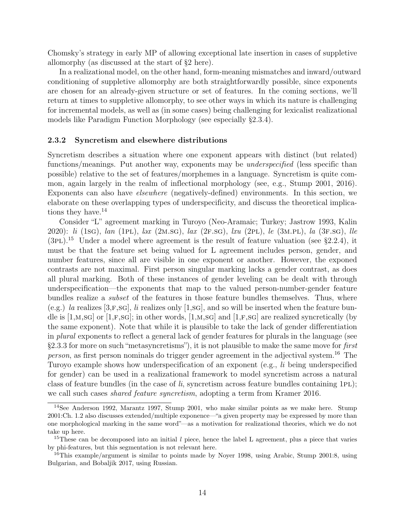Chomsky's strategy in early MP of allowing exceptional late insertion in cases of suppletive allomorphy (as discussed at the start of §2 here).

In a realizational model, on the other hand, form-meaning mismatches and inward/outward conditioning of suppletive allomorphy are both straightforwardly possible, since exponents are chosen for an already-given structure or set of features. In the coming sections, we'll return at times to suppletive allomorphy, to see other ways in which its nature is challenging for incremental models, as well as (in some cases) being challenging for lexicalist realizational models like Paradigm Function Morphology (see especially §2.3.4).

#### 2.3.2 Syncretism and elsewhere distributions

Syncretism describes a situation where one exponent appears with distinct (but related) functions/meanings. Put another way, exponents may be *underspecified* (less specific than possible) relative to the set of features/morphemes in a language. Syncretism is quite common, again largely in the realm of inflectional morphology (see, e.g., Stump 2001, 2016). Exponents can also have elsewhere (negatively-defined) environments. In this section, we elaborate on these overlapping types of underspecificity, and discuss the theoretical implications they have.<sup>14</sup>

Consider "L" agreement marking in Turoyo (Neo-Aramaic; Turkey; Jastrow 1993, Kalin 2020): li (1sg), lan (1pl), ləx (2m.sg), lax (2F.sg), lxu (2pl), le (3m.pl), la (3F.sg), lle  $(3PL).$ <sup>15</sup> Under a model where agreement is the result of feature valuation (see §2.2.4), it must be that the feature set being valued for L agreement includes person, gender, and number features, since all are visible in one exponent or another. However, the exponed contrasts are not maximal. First person singular marking lacks a gender contrast, as does all plural marking. Both of these instances of gender leveling can be dealt with through underspecification—the exponents that map to the valued person-number-gender feature bundles realize a *subset* of the features in those feature bundles themselves. Thus, where (e.g.) la realizes  $[3, F, SG]$ , li realizes only  $[1, SG]$ , and so will be inserted when the feature bundle is [1,M,sg] or [1,F,sg]; in other words, [1,M,sg] and [1,F,sg] are realized syncretically (by the same exponent). Note that while it is plausible to take the lack of gender differentiation in plural exponents to reflect a general lack of gender features for plurals in the language (see §2.3.3 for more on such "metasyncretisms"), it is not plausible to make the same move for first person, as first person nominals do trigger gender agreement in the adjectival system.<sup>16</sup> The Turoyo example shows how underspecification of an exponent (e.g., li being underspecified for gender) can be used in a realizational framework to model syncretism across a natural class of feature bundles (in the case of  $li$ , syncretism across feature bundles containing 1PL); we call such cases shared feature syncretism, adopting a term from Kramer 2016.

<sup>&</sup>lt;sup>14</sup>See Anderson 1992, Marantz 1997, Stump 2001, who make similar points as we make here. Stump 2001:Ch. 1.2 also discusses extended/multiple exponence—"a given property may be expressed by more than one morphological marking in the same word"—as a motivation for realizational theories, which we do not take up here.

<sup>&</sup>lt;sup>15</sup>These can be decomposed into an initial  $l$  piece, hence the label L agreement, plus a piece that varies by phi-features, but this segmentation is not relevant here.

<sup>&</sup>lt;sup>16</sup>This example/argument is similar to points made by Noyer 1998, using Arabic, Stump 2001:8, using Bulgarian, and Bobaljik 2017, using Russian.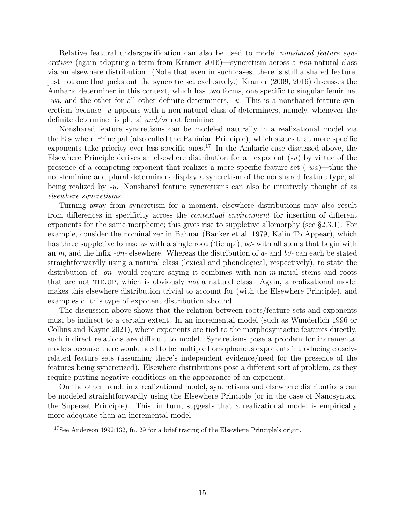Relative featural underspecification can also be used to model *nonshared feature syn*cretism (again adopting a term from Kramer 2016)—syncretism across a non-natural class via an elsewhere distribution. (Note that even in such cases, there is still a shared feature, just not one that picks out the syncretic set exclusively.) Kramer (2009, 2016) discusses the Amharic determiner in this context, which has two forms, one specific to singular feminine, -wa, and the other for all other definite determiners, -u. This is a nonshared feature syncretism because  $-u$  appears with a non-natural class of determiners, namely, whenever the definite determiner is plural and/or not feminine.

Nonshared feature syncretisms can be modeled naturally in a realizational model via the Elsewhere Principal (also called the Paninian Principle), which states that more specific exponents take priority over less specific ones.<sup>17</sup> In the Amharic case discussed above, the Elsewhere Principle derives an elsewhere distribution for an exponent  $(-u)$  by virtue of the presence of a competing exponent that realizes a more specific feature set  $(-wa)$ —thus the non-feminine and plural determiners display a syncretism of the nonshared feature type, all being realized by -u. Nonshared feature syncretisms can also be intuitively thought of as elsewhere syncretisms.

Turning away from syncretism for a moment, elsewhere distributions may also result from differences in specificity across the contextual environment for insertion of different exponents for the same morpheme; this gives rise to suppletive allomorphy (see §2.3.1). For example, consider the nominalizer in Bahnar (Banker et al. 1979, Kalin To Appear), which has three suppletive forms:  $a$ - with a single root ('tie up'),  $b\sigma$ - with all stems that begin with an  $m$ , and the infix - $\sigma n$ - elsewhere. Whereas the distribution of  $a$ - and  $b\sigma$ - can each be stated straightforwardly using a natural class (lexical and phonological, respectively), to state the distribution of  $\text{-} \sigma n$ - would require saying it combines with non-m-initial stems and roots that are not tie.up, which is obviously not a natural class. Again, a realizational model makes this elsewhere distribution trivial to account for (with the Elsewhere Principle), and examples of this type of exponent distribution abound.

The discussion above shows that the relation between roots/feature sets and exponents must be indirect to a certain extent. In an incremental model (such as Wunderlich 1996 or Collins and Kayne 2021), where exponents are tied to the morphosyntactic features directly, such indirect relations are difficult to model. Syncretisms pose a problem for incremental models because there would need to be multiple homophonous exponents introducing closelyrelated feature sets (assuming there's independent evidence/need for the presence of the features being syncretized). Elsewhere distributions pose a different sort of problem, as they require putting negative conditions on the appearance of an exponent.

On the other hand, in a realizational model, syncretisms and elsewhere distributions can be modeled straightforwardly using the Elsewhere Principle (or in the case of Nanosyntax, the Superset Principle). This, in turn, suggests that a realizational model is empirically more adequate than an incremental model.

<sup>17</sup>See Anderson 1992:132, fn. 29 for a brief tracing of the Elsewhere Principle's origin.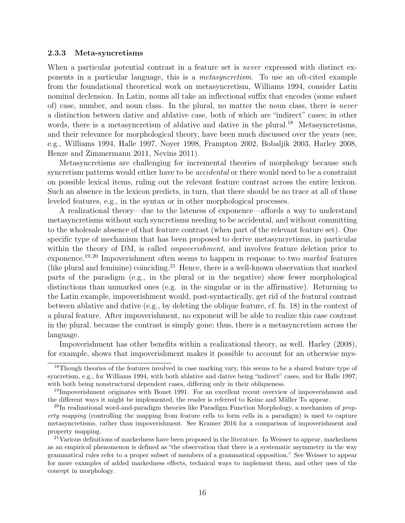#### 2.3.3 Meta-syncretisms

When a particular potential contrast in a feature set is *never* expressed with distinct exponents in a particular language, this is a metasyncretism. To use an oft-cited example from the foundational theoretical work on metasyncretism, Williams 1994, consider Latin nominal declension. In Latin, nouns all take an inflectional suffix that encodes (some subset of) case, number, and noun class. In the plural, no matter the noun class, there is never a distinction between dative and ablative case, both of which are "indirect" cases; in other words, there is a metasyncretism of ablative and dative in the plural.<sup>18</sup> Metasyncretisms, and their relevance for morphological theory, have been much discussed over the years (see, e.g., Williams 1994, Halle 1997, Noyer 1998, Frampton 2002, Bobaljik 2003, Harley 2008, Henze and Zimmermann 2011, Nevins 2011).

Metasyncretisms are challenging for incremental theories of morphology because such syncretism patterns would either have to be *accidental* or there would need to be a constraint on possible lexical items, ruling out the relevant feature contrast across the entire lexicon. Such an absence in the lexicon predicts, in turn, that there should be no trace at all of those leveled features, e.g., in the syntax or in other morphological processes.

A realizational theory—due to the lateness of exponence—affords a way to understand metasyncretisms without such syncretisms needing to be accidental, and without committing to the wholesale absence of that feature contrast (when part of the relevant feature set). One specific type of mechanism that has been proposed to derive metasyncretisms, in particular within the theory of DM, is called *impoverishment*, and involves feature deletion prior to exponence.<sup>19</sup>,<sup>20</sup> Impoverishment often seems to happen in response to two marked features (like plural and feminine) coinciding.<sup>21</sup> Hence, there is a well-known observation that marked parts of the paradigm (e.g., in the plural or in the negative) show fewer morphological distinctions than unmarked ones (e.g. in the singular or in the affirmative). Returning to the Latin example, impoverishment would, post-syntactically, get rid of the featural contrast between ablative and dative (e.g., by deleting the oblique feature, cf. fn. 18) in the context of a plural feature. After impoverishment, no exponent will be able to realize this case contrast in the plural, because the contrast is simply gone; thus, there is a metasyncretism across the language.

Impoverishment has other benefits within a realizational theory, as well. Harley (2008), for example, shows that impoverishment makes it possible to account for an otherwise mys-

<sup>&</sup>lt;sup>18</sup>Though theories of the features involved in case marking vary, this seems to be a shared feature type of syncretism, e.g., for Williams 1994, with both ablative and dative being "indirect" cases, and for Halle 1997, with both being nonstructural dependent cases, differing only in their obliqueness.

<sup>&</sup>lt;sup>19</sup>Impoverishment originates with Bonet 1991. For an excellent recent overview of impoverishment and the different ways it might be implemented, the reader is referred to Keine and Müller To appear.

 $^{20}$ In realizational word-and-paradigm theories like Paradigm Function Morphology, a mechanism of property mapping (controlling the mapping from feature cells to form cells in a paradigm) is used to capture metasyncretisms, rather than impoverishment. See Kramer 2016 for a comparison of impoverishment and property mapping.

<sup>&</sup>lt;sup>21</sup>Various definitions of markedness have been proposed in the literature. In Weisser to appear, markedness as an empirical phenomenon is defined as "the observation that there is a systematic asymmetry in the way grammatical rules refer to a proper subset of members of a grammatical opposition." See Weisser to appear for more examples of added markedness effects, technical ways to implement them, and other uses of the concept in morphology.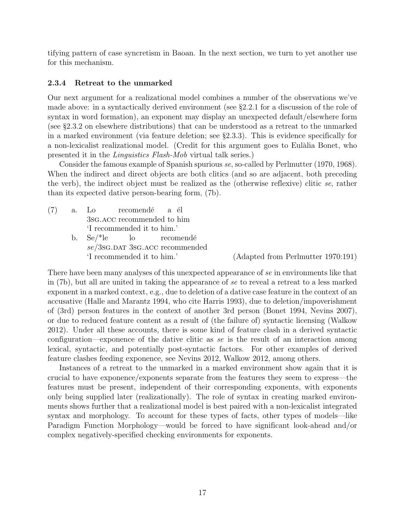tifying pattern of case syncretism in Baoan. In the next section, we turn to yet another use for this mechanism.

#### 2.3.4 Retreat to the unmarked

Our next argument for a realizational model combines a number of the observations we've made above: in a syntactically derived environment (see §2.2.1 for a discussion of the role of syntax in word formation), an exponent may display an unexpected default/elsewhere form (see §2.3.2 on elsewhere distributions) that can be understood as a retreat to the unmarked in a marked environment (via feature deletion; see §2.3.3). This is evidence specifically for a non-lexicalist realizational model. (Credit for this argument goes to Eulàlia Bonet, who presented it in the Linguistics Flash-Mob virtual talk series.)

Consider the famous example of Spanish spurious se, so-called by Perlmutter (1970, 1968). When the indirect and direct objects are both clitics (and so are adjacent, both preceding the verb), the indirect object must be realized as the (otherwise reflexive) clitic se, rather than its expected dative person-bearing form, (7b).

(7) a. Lo 3sg.acc recommended to him recomendé a él 'I recommended it to him.' b. Se/\*le se/3sG.DAT 3sG.ACC recommended lo recomendé

'I recommended it to him.' (Adapted from Perlmutter 1970:191)

There have been many analyses of this unexpected appearance of se in environments like that in (7b), but all are united in taking the appearance of se to reveal a retreat to a less marked exponent in a marked context, e.g., due to deletion of a dative case feature in the context of an accusative (Halle and Marantz 1994, who cite Harris 1993), due to deletion/impoverishment of (3rd) person features in the context of another 3rd person (Bonet 1994, Nevins 2007), or due to reduced feature content as a result of (the failure of) syntactic licensing (Walkow 2012). Under all these accounts, there is some kind of feature clash in a derived syntactic configuration—exponence of the dative clitic as se is the result of an interaction among lexical, syntactic, and potentially post-syntactic factors. For other examples of derived feature clashes feeding exponence, see Nevins 2012, Walkow 2012, among others.

Instances of a retreat to the unmarked in a marked environment show again that it is crucial to have exponence/exponents separate from the features they seem to express—the features must be present, independent of their corresponding exponents, with exponents only being supplied later (realizationally). The role of syntax in creating marked environments shows further that a realizational model is best paired with a non-lexicalist integrated syntax and morphology. To account for these types of facts, other types of models—like Paradigm Function Morphology—would be forced to have significant look-ahead and/or complex negatively-specified checking environments for exponents.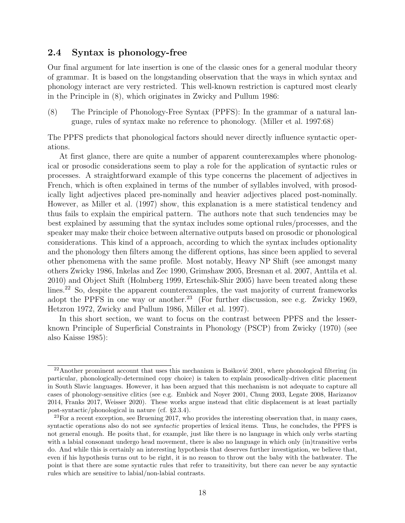## 2.4 Syntax is phonology-free

Our final argument for late insertion is one of the classic ones for a general modular theory of grammar. It is based on the longstanding observation that the ways in which syntax and phonology interact are very restricted. This well-known restriction is captured most clearly in the Principle in (8), which originates in Zwicky and Pullum 1986:

(8) The Principle of Phonology-Free Syntax (PPFS): In the grammar of a natural language, rules of syntax make no reference to phonology. (Miller et al. 1997:68)

The PPFS predicts that phonological factors should never directly influence syntactic operations.

At first glance, there are quite a number of apparent counterexamples where phonological or prosodic considerations seem to play a role for the application of syntactic rules or processes. A straightforward example of this type concerns the placement of adjectives in French, which is often explained in terms of the number of syllables involved, with prosodically light adjectives placed pre-nominally and heavier adjectives placed post-nominally. However, as Miller et al. (1997) show, this explanation is a mere statistical tendency and thus fails to explain the empirical pattern. The authors note that such tendencies may be best explained by assuming that the syntax includes some optional rules/processes, and the speaker may make their choice between alternative outputs based on prosodic or phonological considerations. This kind of a approach, according to which the syntax includes optionality and the phonology then filters among the different options, has since been applied to several other phenomena with the same profile. Most notably, Heavy NP Shift (see amongst many others Zwicky 1986, Inkelas and Zec 1990, Grimshaw 2005, Bresnan et al. 2007, Anttila et al. 2010) and Object Shift (Holmberg 1999, Erteschik-Shir 2005) have been treated along these lines.<sup>22</sup> So, despite the apparent counterexamples, the vast majority of current frameworks adopt the PPFS in one way or another.<sup>23</sup> (For further discussion, see e.g. Zwicky 1969, Hetzron 1972, Zwicky and Pullum 1986, Miller et al. 1997).

In this short section, we want to focus on the contrast between PPFS and the lesserknown Principle of Superficial Constraints in Phonology (PSCP) from Zwicky (1970) (see also Kaisse 1985):

 $22A$ nother prominent account that uses this mechanism is Bošković 2001, where phonological filtering (in particular, phonologically-determined copy choice) is taken to explain prosodically-driven clitic placement in South Slavic languages. However, it has been argued that this mechanism is not adequate to capture all cases of phonology-sensitive clitics (see e.g. Embick and Noyer 2001, Chung 2003, Legate 2008, Harizanov 2014, Franks 2017, Weisser 2020). These works argue instead that clitic displacement is at least partially post-syntactic/phonological in nature (cf. §2.3.4).

 $^{23}$ For a recent exception, see Bruening 2017, who provides the interesting observation that, in many cases, syntactic operations also do not see *syntactic* properties of lexical items. Thus, he concludes, the PPFS is not general enough. He posits that, for example, just like there is no language in which only verbs starting with a labial consonant undergo head movement, there is also no language in which only (in)transitive verbs do. And while this is certainly an interesting hypothesis that deserves further investigation, we believe that, even if his hypothesis turns out to be right, it is no reason to throw out the baby with the bathwater. The point is that there are some syntactic rules that refer to transitivity, but there can never be any syntactic rules which are sensitive to labial/non-labial contrasts.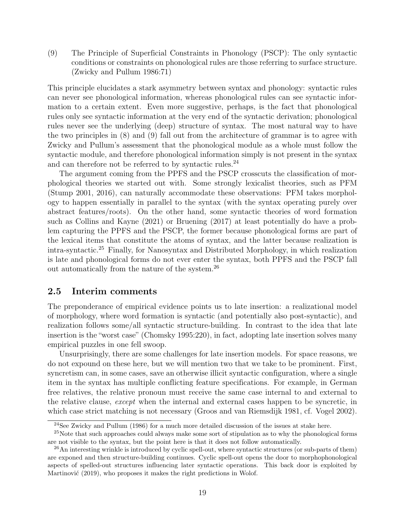(9) The Principle of Superficial Constraints in Phonology (PSCP): The only syntactic conditions or constraints on phonological rules are those referring to surface structure. (Zwicky and Pullum 1986:71)

This principle elucidates a stark asymmetry between syntax and phonology: syntactic rules can never see phonological information, whereas phonological rules can see syntactic information to a certain extent. Even more suggestive, perhaps, is the fact that phonological rules only see syntactic information at the very end of the syntactic derivation; phonological rules never see the underlying (deep) structure of syntax. The most natural way to have the two principles in (8) and (9) fall out from the architecture of grammar is to agree with Zwicky and Pullum's assessment that the phonological module as a whole must follow the syntactic module, and therefore phonological information simply is not present in the syntax and can therefore not be referred to by syntactic rules.<sup>24</sup>

The argument coming from the PPFS and the PSCP crosscuts the classification of morphological theories we started out with. Some strongly lexicalist theories, such as PFM (Stump 2001, 2016), can naturally accommodate these observations: PFM takes morphology to happen essentially in parallel to the syntax (with the syntax operating purely over abstract features/roots). On the other hand, some syntactic theories of word formation such as Collins and Kayne (2021) or Bruening (2017) at least potentially do have a problem capturing the PPFS and the PSCP, the former because phonological forms are part of the lexical items that constitute the atoms of syntax, and the latter because realization is intra-syntactic.<sup>25</sup> Finally, for Nanosyntax and Distributed Morphology, in which realization is late and phonological forms do not ever enter the syntax, both PPFS and the PSCP fall out automatically from the nature of the system.<sup>26</sup>

### 2.5 Interim comments

The preponderance of empirical evidence points us to late insertion: a realizational model of morphology, where word formation is syntactic (and potentially also post-syntactic), and realization follows some/all syntactic structure-building. In contrast to the idea that late insertion is the "worst case" (Chomsky 1995:220), in fact, adopting late insertion solves many empirical puzzles in one fell swoop.

Unsurprisingly, there are some challenges for late insertion models. For space reasons, we do not expound on these here, but we will mention two that we take to be prominent. First, syncretism can, in some cases, save an otherwise illicit syntactic configuration, where a single item in the syntax has multiple conflicting feature specifications. For example, in German free relatives, the relative pronoun must receive the same case internal to and external to the relative clause, except when the internal and external cases happen to be syncretic, in which case strict matching is not necessary (Groos and van Riemsdijk 1981, cf. Vogel 2002).

<sup>&</sup>lt;sup>24</sup>See Zwicky and Pullum  $(1986)$  for a much more detailed discussion of the issues at stake here.

<sup>&</sup>lt;sup>25</sup>Note that such approaches could always make some sort of stipulation as to why the phonological forms are not visible to the syntax, but the point here is that it does not follow automatically.

<sup>&</sup>lt;sup>26</sup>An interesting wrinkle is introduced by cyclic spell-out, where syntactic structures (or sub-parts of them) are exponed and then structure-building continues. Cyclic spell-out opens the door to morphophonological aspects of spelled-out structures influencing later syntactic operations. This back door is exploited by Martinović (2019), who proposes it makes the right predictions in Wolof.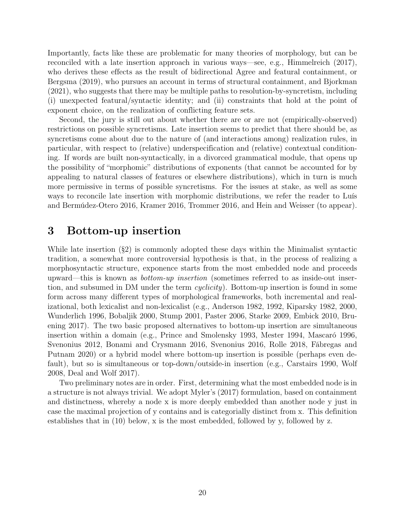Importantly, facts like these are problematic for many theories of morphology, but can be reconciled with a late insertion approach in various ways—see, e.g., Himmelreich (2017), who derives these effects as the result of bidirectional Agree and featural containment, or Bergsma (2019), who pursues an account in terms of structural containment, and Bjorkman (2021), who suggests that there may be multiple paths to resolution-by-syncretism, including (i) unexpected featural/syntactic identity; and (ii) constraints that hold at the point of exponent choice, on the realization of conflicting feature sets.

Second, the jury is still out about whether there are or are not (empirically-observed) restrictions on possible syncretisms. Late insertion seems to predict that there should be, as syncretisms come about due to the nature of (and interactions among) realization rules, in particular, with respect to (relative) underspecification and (relative) contextual conditioning. If words are built non-syntactically, in a divorced grammatical module, that opens up the possibility of "morphomic" distributions of exponents (that cannot be accounted for by appealing to natural classes of features or elsewhere distributions), which in turn is much more permissive in terms of possible syncretisms. For the issues at stake, as well as some ways to reconcile late insertion with morphomic distributions, we refer the reader to Luís and Bermúdez-Otero 2016, Kramer 2016, Trommer 2016, and Hein and Weisser (to appear).

# 3 Bottom-up insertion

While late insertion  $(\S2)$  is commonly adopted these days within the Minimalist syntactic tradition, a somewhat more controversial hypothesis is that, in the process of realizing a morphosyntactic structure, exponence starts from the most embedded node and proceeds upward—this is known as bottom-up insertion (sometimes referred to as inside-out insertion, and subsumed in DM under the term *cyclicity*). Bottom-up insertion is found in some form across many different types of morphological frameworks, both incremental and realizational, both lexicalist and non-lexicalist (e.g., Anderson 1982, 1992, Kiparsky 1982, 2000, Wunderlich 1996, Bobaljik 2000, Stump 2001, Paster 2006, Starke 2009, Embick 2010, Bruening 2017). The two basic proposed alternatives to bottom-up insertion are simultaneous insertion within a domain (e.g., Prince and Smolensky 1993, Mester 1994, Mascaró 1996, Svenonius 2012, Bonami and Crysmann 2016, Svenonius 2016, Rolle 2018, Fábregas and Putnam 2020) or a hybrid model where bottom-up insertion is possible (perhaps even default), but so is simultaneous or top-down/outside-in insertion (e.g., Carstairs 1990, Wolf 2008, Deal and Wolf 2017).

Two preliminary notes are in order. First, determining what the most embedded node is in a structure is not always trivial. We adopt Myler's (2017) formulation, based on containment and distinctness, whereby a node x is more deeply embedded than another node y just in case the maximal projection of y contains and is categorially distinct from x. This definition establishes that in (10) below, x is the most embedded, followed by y, followed by z.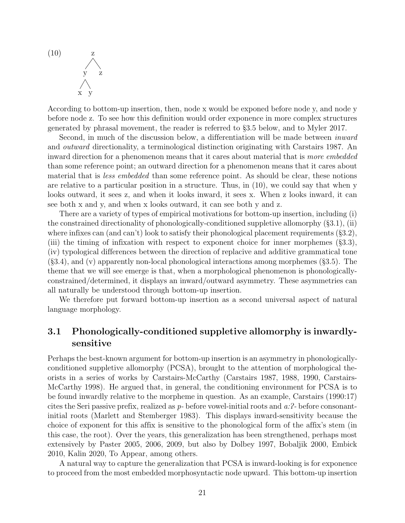$(10)$  $\begin{array}{c} \begin{array}{c} \diagup \\ y \end{array} & \begin{array}{c} \diagup \\ z \end{array} \\ \diagup \end{array}$ x y

According to bottom-up insertion, then, node x would be exponed before node y, and node y before node z. To see how this definition would order exponence in more complex structures generated by phrasal movement, the reader is referred to §3.5 below, and to Myler 2017.

Second, in much of the discussion below, a differentiation will be made between *inward* and outward directionality, a terminological distinction originating with Carstairs 1987. An inward direction for a phenomenon means that it cares about material that is more embedded than some reference point; an outward direction for a phenomenon means that it cares about material that is *less embedded* than some reference point. As should be clear, these notions are relative to a particular position in a structure. Thus, in (10), we could say that when y looks outward, it sees z, and when it looks inward, it sees x. When z looks inward, it can see both x and y, and when x looks outward, it can see both y and z.

There are a variety of types of empirical motivations for bottom-up insertion, including (i) the constrained directionality of phonologically-conditioned suppletive allomorphy (§3.1), (ii) where infixes can (and can't) look to satisfy their phonological placement requirements  $(\S3.2)$ , (iii) the timing of infixation with respect to exponent choice for inner morphemes (§3.3), (iv) typological differences between the direction of replacive and additive grammatical tone (§3.4), and (v) apparently non-local phonological interactions among morphemes (§3.5). The theme that we will see emerge is that, when a morphological phenomenon is phonologicallyconstrained/determined, it displays an inward/outward asymmetry. These asymmetries can all naturally be understood through bottom-up insertion.

We therefore put forward bottom-up insertion as a second universal aspect of natural language morphology.

## 3.1 Phonologically-conditioned suppletive allomorphy is inwardlysensitive

Perhaps the best-known argument for bottom-up insertion is an asymmetry in phonologicallyconditioned suppletive allomorphy (PCSA), brought to the attention of morphological theorists in a series of works by Carstairs-McCarthy (Carstairs 1987, 1988, 1990, Carstairs-McCarthy 1998). He argued that, in general, the conditioning environment for PCSA is to be found inwardly relative to the morpheme in question. As an example, Carstairs (1990:17) cites the Seri passive prefix, realized as  $p$ - before vowel-initial roots and  $a:\mathbb{R}^2$ - before consonantinitial roots (Marlett and Stemberger 1983). This displays inward-sensitivity because the choice of exponent for this affix is sensitive to the phonological form of the affix's stem (in this case, the root). Over the years, this generalization has been strengthened, perhaps most extensively by Paster 2005, 2006, 2009, but also by Dolbey 1997, Bobaljik 2000, Embick 2010, Kalin 2020, To Appear, among others.

A natural way to capture the generalization that PCSA is inward-looking is for exponence to proceed from the most embedded morphosyntactic node upward. This bottom-up insertion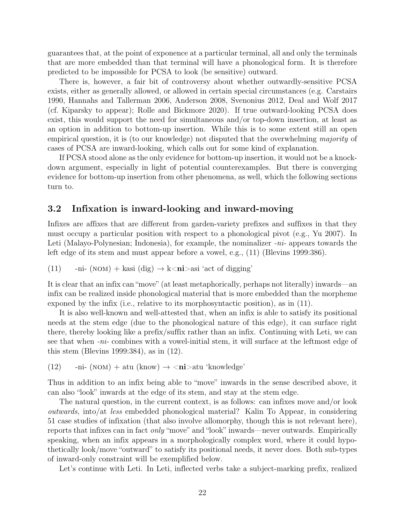guarantees that, at the point of exponence at a particular terminal, all and only the terminals that are more embedded than that terminal will have a phonological form. It is therefore predicted to be impossible for PCSA to look (be sensitive) outward.

There is, however, a fair bit of controversy about whether outwardly-sensitive PCSA exists, either as generally allowed, or allowed in certain special circumstances (e.g. Carstairs 1990, Hannahs and Tallerman 2006, Anderson 2008, Svenonius 2012, Deal and Wolf 2017 (cf. Kiparsky to appear); Rolle and Bickmore 2020). If true outward-looking PCSA does exist, this would support the need for simultaneous and/or top-down insertion, at least as an option in addition to bottom-up insertion. While this is to some extent still an open empirical question, it is (to our knowledge) not disputed that the overwhelming majority of cases of PCSA are inward-looking, which calls out for some kind of explanation.

If PCSA stood alone as the only evidence for bottom-up insertion, it would not be a knockdown argument, especially in light of potential counterexamples. But there is converging evidence for bottom-up insertion from other phenomena, as well, which the following sections turn to.

## 3.2 Infixation is inward-looking and inward-moving

Infixes are affixes that are different from garden-variety prefixes and suffixes in that they must occupy a particular position with respect to a phonological pivot (e.g., Yu 2007). In Leti (Malayo-Polynesian; Indonesia), for example, the nominalizer  $-ni$ - appears towards the left edge of its stem and must appear before a vowel, e.g., (11) (Blevins 1999:386).

(11) 
$$
-n\mathbf{i}-(\text{NOM}) + \text{kasi (dig)} \rightarrow \mathbf{k} < \mathbf{n} \mathbf{i} > \text{asi 'act of } \mathbf{d} \text{,}
$$

It is clear that an infix can "move" (at least metaphorically, perhaps not literally) inwards—an infix can be realized inside phonological material that is more embedded than the morpheme exponed by the infix (i.e., relative to its morphosyntactic position), as in (11).

It is also well-known and well-attested that, when an infix is able to satisfy its positional needs at the stem edge (due to the phonological nature of this edge), it can surface right there, thereby looking like a prefix/suffix rather than an infix. Continuing with Leti, we can see that when -ni- combines with a vowel-initial stem, it will surface at the leftmost edge of this stem (Blevins 1999:384), as in (12).

(12) -ni- (NOM) + atu (know)  $\rightarrow$  <ni>atu 'knowledge'

Thus in addition to an infix being able to "move" inwards in the sense described above, it can also "look" inwards at the edge of its stem, and stay at the stem edge.

The natural question, in the current context, is as follows: can infixes move and/or look outwards, into/at less embedded phonological material? Kalin To Appear, in considering 51 case studies of infixation (that also involve allomorphy, though this is not relevant here), reports that infixes can in fact only "move" and "look" inwards—never outwards. Empirically speaking, when an infix appears in a morphologically complex word, where it could hypothetically look/move "outward" to satisfy its positional needs, it never does. Both sub-types of inward-only constraint will be exemplified below.

Let's continue with Leti. In Leti, inflected verbs take a subject-marking prefix, realized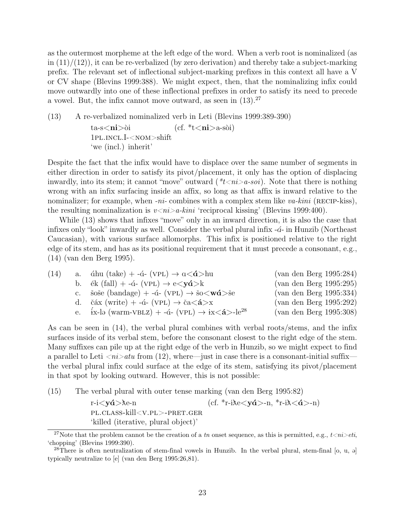as the outermost morpheme at the left edge of the word. When a verb root is nominalized (as in  $(11)/(12)$ , it can be re-verbalized (by zero derivation) and thereby take a subject-marking prefix. The relevant set of inflectional subject-marking prefixes in this context all have a V or CV shape (Blevins 1999:388). We might expect, then, that the nominalizing infix could move outwardly into one of these inflectional prefixes in order to satisfy its need to precede a vowel. But, the infix cannot move outward, as seen in  $(13).^{27}$ 

(13) A re-verbalized nominalized verb in Leti (Blevins 1999:389-390)  
\n
$$
ta\text{-s}\text{-ni}\text{-oi}
$$
 (cf.  $t\text{-si}\text{-ni}\text{-a-soi}$ )  
\n $1\text{PL.INCL.I}-\text{NOM}\text{-shift}$   
\n'we (incl.) inherit'

Despite the fact that the infix would have to displace over the same number of segments in either direction in order to satisfy its pivot/placement, it only has the option of displacing inwardly, into its stem; it cannot "move" outward  $(*t \leq n \geq a\text{-}soi)$ . Note that there is nothing wrong with an infix surfacing inside an affix, so long as that affix is inward relative to the nominalizer; for example, when  $-ni$ - combines with a complex stem like  $va$ -kini (RECIP-kiss), the resulting nominalization is  $v \langle ni \rangle a$ -kini 'reciprocal kissing' (Blevins 1999:400).

While (13) shows that infixes "move" only in an inward direction, it is also the case that infixes only "look" inwardly as well. Consider the verbal plural infix  $-\tilde{a}$ - in Hunzib (Northeast Caucasian), with various surface allomorphs. This infix is positioned relative to the right edge of its stem, and has as its positional requirement that it must precede a consonant, e.g., (14) (van den Berg 1995).

| (14) | a. áhu (take) + -á- (VPL) $\rightarrow$ $\alpha < \hat{\alpha} >$ hu                              | (van den Berg 1995:284) |
|------|---------------------------------------------------------------------------------------------------|-------------------------|
|      | b. ék (fall) + -á- (VPL) $\rightarrow$ e $\langle y\hat{a}\rangle$ k                              | (van den Berg 1995:295) |
|      | c. šoše (bandage) + -á- (VPL) $\rightarrow$ šo $\lt \mathbf{w}\hat{\mathbf{a}}$ $\gt$ še          | (van den Berg 1995:334) |
|      | d. čáx (write) + -á- (VPL) $\rightarrow$ ča $\lt$ <b>á</b> $>$ x                                  | (van den Berg 1995:292) |
|      | e. $i\text{x-lə}$ (warm-VBLZ) + -á- (VPL) $\rightarrow$ $i\text{x} < \hat{\mathbf{a}} > -le^{28}$ | (van den Berg 1995:308) |

As can be seen in (14), the verbal plural combines with verbal roots/stems, and the infix surfaces inside of its verbal stem, before the consonant closest to the right edge of the stem. Many suffixes can pile up at the right edge of the verb in Hunzib, so we might expect to find a parallel to Leti  $\langle ni \rangle$  atu from (12), where—just in case there is a consonant-initial suffix the verbal plural infix could surface at the edge of its stem, satisfying its pivot/placement in that spot by looking outward. However, this is not possible:

(15) The verbal plural with outer tense marking (van den Berg 1995:82)

r-i $<$ yá $>$ ke-n pl.class-kill<v.pl>-pret.ger (cf. \*r-i $\lambda e \langle y \hat{\mathbf{d}} \rangle$ -n, \*r-i $\lambda \langle \hat{\mathbf{d}} \rangle$ -n) 'killed (iterative, plural object)'

<sup>&</sup>lt;sup>27</sup>Note that the problem cannot be the creation of a tn onset sequence, as this is permitted, e.g.,  $t \le n$ i>eti, 'chopping' (Blevins 1999:390).

<sup>&</sup>lt;sup>28</sup>There is often neutralization of stem-final vowels in Hunzib. In the verbal plural, stem-final [o, u,  $\partial$ ] typically neutralize to [e] (van den Berg 1995:26,81).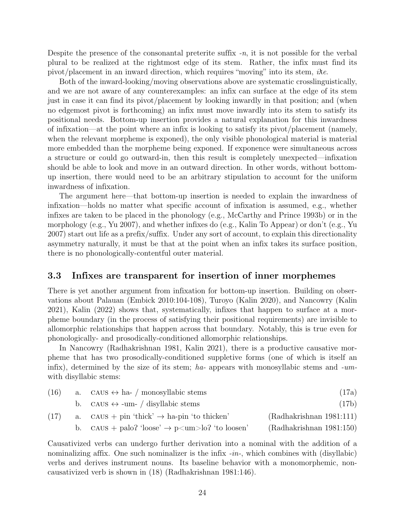Despite the presence of the consonantal preterite suffix  $-n$ , it is not possible for the verbal plural to be realized at the rightmost edge of its stem. Rather, the infix must find its pivot/placement in an inward direction, which requires "moving" into its stem,  $i\lambda e$ .

Both of the inward-looking/moving observations above are systematic crosslinguistically, and we are not aware of any counterexamples: an infix can surface at the edge of its stem just in case it can find its pivot/placement by looking inwardly in that position; and (when no edgemost pivot is forthcoming) an infix must move inwardly into its stem to satisfy its positional needs. Bottom-up insertion provides a natural explanation for this inwardness of infixation—at the point where an infix is looking to satisfy its pivot/placement (namely, when the relevant morpheme is exponed), the only visible phonological material is material more embedded than the morpheme being exponed. If exponence were simultaneous across a structure or could go outward-in, then this result is completely unexpected—infixation should be able to look and move in an outward direction. In other words, without bottomup insertion, there would need to be an arbitrary stipulation to account for the uniform inwardness of infixation.

The argument here—that bottom-up insertion is needed to explain the inwardness of infixation—holds no matter what specific account of infixation is assumed, e.g., whether infixes are taken to be placed in the phonology (e.g., McCarthy and Prince 1993b) or in the morphology (e.g., Yu 2007), and whether infixes do (e.g., Kalin To Appear) or don't (e.g., Yu 2007) start out life as a prefix/suffix. Under any sort of account, to explain this directionality asymmetry naturally, it must be that at the point when an infix takes its surface position, there is no phonologically-contentful outer material.

### 3.3 Infixes are transparent for insertion of inner morphemes

There is yet another argument from infixation for bottom-up insertion. Building on observations about Palauan (Embick 2010:104-108), Turoyo (Kalin 2020), and Nancowry (Kalin 2021), Kalin (2022) shows that, systematically, infixes that happen to surface at a morpheme boundary (in the process of satisfying their positional requirements) are invisible to allomorphic relationships that happen across that boundary. Notably, this is true even for phonologically- and prosodically-conditioned allomorphic relationships.

In Nancowry (Radhakrishnan 1981, Kalin 2021), there is a productive causative morpheme that has two prosodically-conditioned suppletive forms (one of which is itself an infix), determined by the size of its stem; ha- appears with monosyllabic stems and -umwith disyllabic stems:

| (16) | a. CAUS $\leftrightarrow$ ha- / monosyllabic stems                  | (17a)                    |
|------|---------------------------------------------------------------------|--------------------------|
|      | b. CAUS $\leftrightarrow$ -um- / disyllabic stems                   | (17b)                    |
| (17) | a. CAUS + pin 'thick' $\rightarrow$ ha-pin 'to thicken'             | (Radhakrishnan 1981:111) |
|      | b. CAUS + palo? 'loose' $\rightarrow$ p $\lt$ um $>$ lo?'to loosen' | (Radhakrishnan 1981:150) |

Causativized verbs can undergo further derivation into a nominal with the addition of a nominalizing affix. One such nominalizer is the infix  $-in$ , which combines with (disyllabic) verbs and derives instrument nouns. Its baseline behavior with a monomorphemic, noncausativized verb is shown in (18) (Radhakrishnan 1981:146).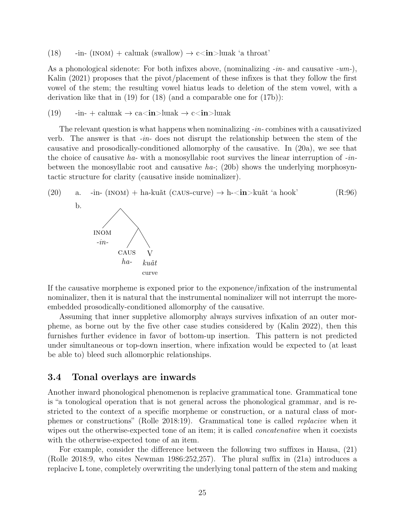(18) -in- (INOM) + calwak (swallow)  $\rightarrow$  c $\langle$ in $>$ lwak 'a throat'

As a phonological sidenote: For both infixes above, (nominalizing  $-in$ - and causative -um-), Kalin (2021) proposes that the pivot/placement of these infixes is that they follow the first vowel of the stem; the resulting vowel hiatus leads to deletion of the stem vowel, with a derivation like that in (19) for (18) (and a comparable one for (17b)):

(19) 
$$
-in
$$
 -  $in$  +  $calmark$   $\rightarrow$   $ca$ **in** $\rightarrow$   $lunk$   $\rightarrow$   $c$ **in** $\rightarrow$   $lunk$ 

The relevant question is what happens when nominalizing -in- combines with a causativized verb. The answer is that  $-in$ -does not disrupt the relationship between the stem of the causative and prosodically-conditioned allomorphy of the causative. In (20a), we see that the choice of causative ha- with a monosyllabic root survives the linear interruption of  $-in$ between the monosyllabic root and causative  $ha$ -; (20b) shows the underlying morphosyntactic structure for clarity (causative inside nominalizer).

(20) a. -in- (INOM) + ha-kuãt (CAUS-curve) 
$$
\rightarrow
$$
 h-*in* >kuãt 'a hook'  
\nb.  
\nINOM  
\n-*in*-  
\nCAUS V  
\nha- *kuãt*  
\ncurve

If the causative morpheme is exponed prior to the exponence/infixation of the instrumental nominalizer, then it is natural that the instrumental nominalizer will not interrupt the moreembedded prosodically-conditioned allomorphy of the causative.

Assuming that inner suppletive allomorphy always survives infixation of an outer morpheme, as borne out by the five other case studies considered by (Kalin 2022), then this furnishes further evidence in favor of bottom-up insertion. This pattern is not predicted under simultaneous or top-down insertion, where infixation would be expected to (at least be able to) bleed such allomorphic relationships.

## 3.4 Tonal overlays are inwards

Another inward phonological phenomenon is replacive grammatical tone. Grammatical tone is "a tonological operation that is not general across the phonological grammar, and is restricted to the context of a specific morpheme or construction, or a natural class of morphemes or constructions" (Rolle 2018:19). Grammatical tone is called replacive when it wipes out the otherwise-expected tone of an item; it is called *concatenative* when it coexists with the otherwise-expected tone of an item.

For example, consider the difference between the following two suffixes in Hausa, (21) (Rolle 2018:9, who cites Newman 1986:252,257). The plural suffix in (21a) introduces a replacive L tone, completely overwriting the underlying tonal pattern of the stem and making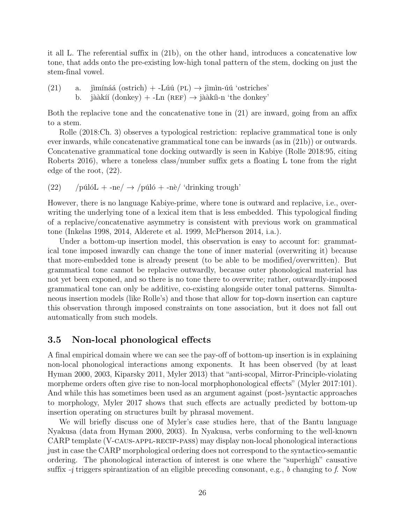it all L. The referential suffix in (21b), on the other hand, introduces a concatenative low tone, that adds onto the pre-existing low-high tonal pattern of the stem, docking on just the stem-final vowel.

(21) a. jimínáá (ostrich) + -
$$
-L\acute{u}\acute{u}
$$
 (PL)  $\rightarrow$  jimin-úú 'ostriches' b. jàakíí (donkey) + - $-Ln$  (REF)  $\rightarrow$  jàakín-n 'the donkey'.

Both the replacive tone and the concatenative tone in (21) are inward, going from an affix to a stem.

Rolle (2018:Ch. 3) observes a typological restriction: replacive grammatical tone is only ever inwards, while concatenative grammatical tone can be inwards (as in (21b)) or outwards. Concatenative grammatical tone docking outwardly is seen in Kabiye (Rolle 2018:95, citing Roberts 2016), where a toneless class/number suffix gets a floating L tone from the right edge of the root, (22).

(22) /púlóL + -ne/  $\rightarrow$  /púló + -nè/ 'drinking trough'

However, there is no language Kabiye-prime, where tone is outward and replacive, i.e., overwriting the underlying tone of a lexical item that is less embedded. This typological finding of a replacive/concatenative asymmetry is consistent with previous work on grammatical tone (Inkelas 1998, 2014, Alderete et al. 1999, McPherson 2014, i.a.).

Under a bottom-up insertion model, this observation is easy to account for: grammatical tone imposed inwardly can change the tone of inner material (overwriting it) because that more-embedded tone is already present (to be able to be modified/overwritten). But grammatical tone cannot be replacive outwardly, because outer phonological material has not yet been exponed, and so there is no tone there to overwrite; rather, outwardly-imposed grammatical tone can only be additive, co-existing alongside outer tonal patterns. Simultaneous insertion models (like Rolle's) and those that allow for top-down insertion can capture this observation through imposed constraints on tone association, but it does not fall out automatically from such models.

## 3.5 Non-local phonological effects

A final empirical domain where we can see the pay-off of bottom-up insertion is in explaining non-local phonological interactions among exponents. It has been observed (by at least Hyman 2000, 2003, Kiparsky 2011, Myler 2013) that "anti-scopal, Mirror-Principle-violating morpheme orders often give rise to non-local morphophonological effects" (Myler 2017:101). And while this has sometimes been used as an argument against (post-)syntactic approaches to morphology, Myler 2017 shows that such effects are actually predicted by bottom-up insertion operating on structures built by phrasal movement.

We will briefly discuss one of Myler's case studies here, that of the Bantu language Nyakusa (data from Hyman 2000, 2003). In Nyakusa, verbs conforming to the well-known CARP template (V-caus-appl-recip-pass) may display non-local phonological interactions just in case the CARP morphological ordering does not correspond to the syntactico-semantic ordering. The phonological interaction of interest is one where the "superhigh" causative suffix  $-i$  triggers spirantization of an eligible preceding consonant, e.g., b changing to f. Now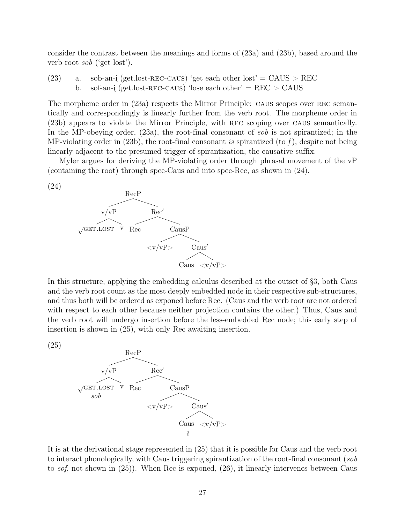consider the contrast between the meanings and forms of (23a) and (23b), based around the verb root sob ('get lost').

(23) a. sob-an-i (get.lost-REC-CAUS) 'get each other lost' =  $CAUS > REC$ b. sof-an-i (get.lost-REC-CAUS) 'lose each other' =  $REC > CAUS$ 

The morpheme order in  $(23a)$  respects the Mirror Principle: CAUS scopes over REC semantically and correspondingly is linearly further from the verb root. The morpheme order in (23b) appears to violate the Mirror Principle, with rec scoping over caus semantically. In the MP-obeying order, (23a), the root-final consonant of sob is not spirantized; in the MP-violating order in  $(23b)$ , the root-final consonant is spirantized (to f), despite not being linearly adjacent to the presumed trigger of spirantization, the causative suffix.

Myler argues for deriving the MP-violating order through phrasal movement of the vP (containing the root) through spec-Caus and into spec-Rec, as shown in (24).





In this structure, applying the embedding calculus described at the outset of §3, both Caus and the verb root count as the most deeply embedded node in their respective sub-structures, and thus both will be ordered as exponed before Rec. (Caus and the verb root are not ordered with respect to each other because neither projection contains the other.) Thus, Caus and the verb root will undergo insertion before the less-embedded Rec node; this early step of insertion is shown in (25), with only Rec awaiting insertion.

(25)



It is at the derivational stage represented in (25) that it is possible for Caus and the verb root to interact phonologically, with Caus triggering spirantization of the root-final consonant (sob to sof, not shown in (25)). When Rec is exponed, (26), it linearly intervenes between Caus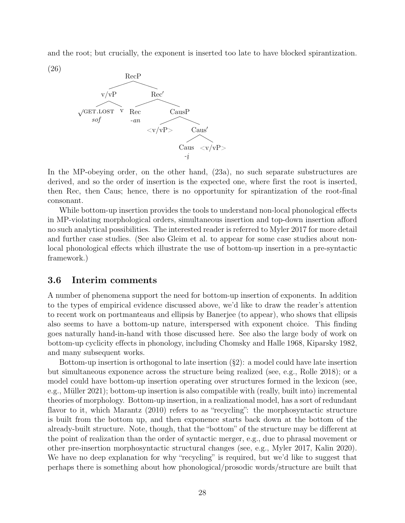and the root; but crucially, the exponent is inserted too late to have blocked spirantization.



In the MP-obeying order, on the other hand, (23a), no such separate substructures are derived, and so the order of insertion is the expected one, where first the root is inserted, then Rec, then Caus; hence, there is no opportunity for spirantization of the root-final consonant.

While bottom-up insertion provides the tools to understand non-local phonological effects in MP-violating morphological orders, simultaneous insertion and top-down insertion afford no such analytical possibilities. The interested reader is referred to Myler 2017 for more detail and further case studies. (See also Gleim et al. to appear for some case studies about nonlocal phonological effects which illustrate the use of bottom-up insertion in a pre-syntactic framework.)

## 3.6 Interim comments

A number of phenomena support the need for bottom-up insertion of exponents. In addition to the types of empirical evidence discussed above, we'd like to draw the reader's attention to recent work on portmanteaus and ellipsis by Banerjee (to appear), who shows that ellipsis also seems to have a bottom-up nature, interspersed with exponent choice. This finding goes naturally hand-in-hand with those discussed here. See also the large body of work on bottom-up cyclicity effects in phonology, including Chomsky and Halle 1968, Kiparsky 1982, and many subsequent works.

Bottom-up insertion is orthogonal to late insertion (§2): a model could have late insertion but simultaneous exponence across the structure being realized (see, e.g., Rolle 2018); or a model could have bottom-up insertion operating over structures formed in the lexicon (see, e.g., Müller 2021); bottom-up insertion is also compatible with (really, built into) incremental theories of morphology. Bottom-up insertion, in a realizational model, has a sort of redundant flavor to it, which Marantz (2010) refers to as "recycling": the morphosyntactic structure is built from the bottom up, and then exponence starts back down at the bottom of the already-built structure. Note, though, that the "bottom" of the structure may be different at the point of realization than the order of syntactic merger, e.g., due to phrasal movement or other pre-insertion morphosyntactic structural changes (see, e.g., Myler 2017, Kalin 2020). We have no deep explanation for why "recycling" is required, but we'd like to suggest that perhaps there is something about how phonological/prosodic words/structure are built that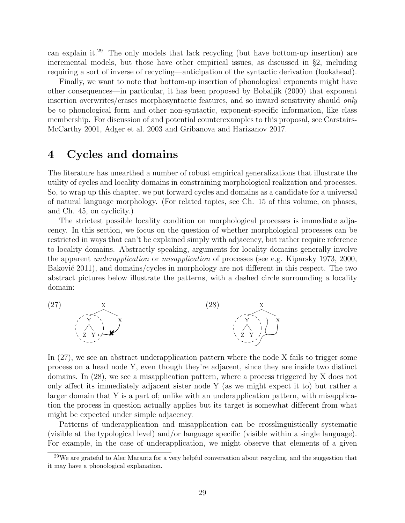can explain it.<sup>29</sup> The only models that lack recycling (but have bottom-up insertion) are incremental models, but those have other empirical issues, as discussed in §2, including requiring a sort of inverse of recycling—anticipation of the syntactic derivation (lookahead).

Finally, we want to note that bottom-up insertion of phonological exponents might have other consequences—in particular, it has been proposed by Bobaljik (2000) that exponent insertion overwrites/erases morphosyntactic features, and so inward sensitivity should only be to phonological form and other non-syntactic, exponent-specific information, like class membership. For discussion of and potential counterexamples to this proposal, see Carstairs-McCarthy 2001, Adger et al. 2003 and Gribanova and Harizanov 2017.

# 4 Cycles and domains

The literature has unearthed a number of robust empirical generalizations that illustrate the utility of cycles and locality domains in constraining morphological realization and processes. So, to wrap up this chapter, we put forward cycles and domains as a candidate for a universal of natural language morphology. (For related topics, see Ch. 15 of this volume, on phases, and Ch. 45, on cyclicity.)

The strictest possible locality condition on morphological processes is immediate adjacency. In this section, we focus on the question of whether morphological processes can be restricted in ways that can't be explained simply with adjacency, but rather require reference to locality domains. Abstractly speaking, arguments for locality domains generally involve the apparent underapplication or misapplication of processes (see e.g. Kiparsky 1973, 2000, Baković  $2011$ , and domains/cycles in morphology are not different in this respect. The two abstract pictures below illustrate the patterns, with a dashed circle surrounding a locality domain:



In (27), we see an abstract underapplication pattern where the node X fails to trigger some process on a head node Y, even though they're adjacent, since they are inside two distinct domains. In (28), we see a misapplication pattern, where a process triggered by X does not only affect its immediately adjacent sister node Y (as we might expect it to) but rather a larger domain that Y is a part of; unlike with an underapplication pattern, with misapplication the process in question actually applies but its target is somewhat different from what might be expected under simple adjacency.

Patterns of underapplication and misapplication can be crosslinguistically systematic (visible at the typological level) and/or language specific (visible within a single language). For example, in the case of underapplication, we might observe that elements of a given

<sup>&</sup>lt;sup>29</sup>We are grateful to Alec Marantz for a very helpful conversation about recycling, and the suggestion that it may have a phonological explanation.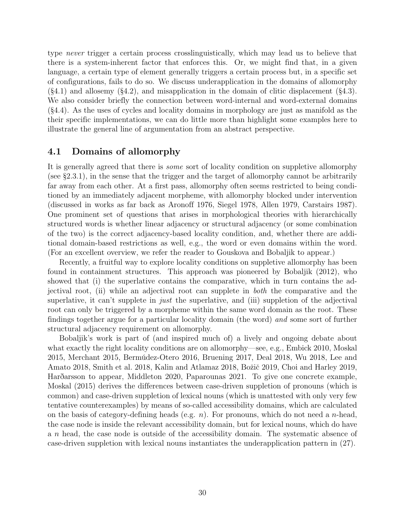type never trigger a certain process crosslinguistically, which may lead us to believe that there is a system-inherent factor that enforces this. Or, we might find that, in a given language, a certain type of element generally triggers a certain process but, in a specific set of configurations, fails to do so. We discuss underapplication in the domains of allomorphy  $(\text{§}4.1)$  and allosemy  $(\text{§}4.2)$ , and misapplication in the domain of clitic displacement  $(\text{§}4.3)$ . We also consider briefly the connection between word-internal and word-external domains (§4.4). As the uses of cycles and locality domains in morphology are just as manifold as the their specific implementations, we can do little more than highlight some examples here to illustrate the general line of argumentation from an abstract perspective.

## 4.1 Domains of allomorphy

It is generally agreed that there is some sort of locality condition on suppletive allomorphy (see §2.3.1), in the sense that the trigger and the target of allomorphy cannot be arbitrarily far away from each other. At a first pass, allomorphy often seems restricted to being conditioned by an immediately adjacent morpheme, with allomorphy blocked under intervention (discussed in works as far back as Aronoff 1976, Siegel 1978, Allen 1979, Carstairs 1987). One prominent set of questions that arises in morphological theories with hierarchically structured words is whether linear adjacency or structural adjacency (or some combination of the two) is the correct adjacency-based locality condition, and, whether there are additional domain-based restrictions as well, e.g., the word or even domains within the word. (For an excellent overview, we refer the reader to Gouskova and Bobaljik to appear.)

Recently, a fruitful way to explore locality conditions on suppletive allomorphy has been found in containment structures. This approach was pioneered by Bobaljik (2012), who showed that (i) the superlative contains the comparative, which in turn contains the adjectival root, (ii) while an adjectival root can supplete in both the comparative and the superlative, it can't supplete in *just* the superlative, and (iii) suppletion of the adjectival root can only be triggered by a morpheme within the same word domain as the root. These findings together argue for a particular locality domain (the word) and some sort of further structural adjacency requirement on allomorphy.

Bobaljik's work is part of (and inspired much of) a lively and ongoing debate about what exactly the right locality conditions are on allomorphy—see, e.g., Embick 2010, Moskal 2015, Merchant 2015, Bermúdez-Otero 2016, Bruening 2017, Deal 2018, Wu 2018, Lee and Amato 2018, Smith et al. 2018, Kalin and Atlamaz 2018, Božič 2019, Choi and Harley 2019, Hardarsson to appear, Middleton 2020, Paparounas 2021. To give one concrete example, Moskal (2015) derives the differences between case-driven suppletion of pronouns (which is common) and case-driven suppletion of lexical nouns (which is unattested with only very few tentative counterexamples) by means of so-called accessibility domains, which are calculated on the basis of category-defining heads (e.g.  $n$ ). For pronouns, which do not need a *n*-head, the case node is inside the relevant accessibility domain, but for lexical nouns, which do have a n head, the case node is outside of the accessibility domain. The systematic absence of case-driven suppletion with lexical nouns instantiates the underapplication pattern in (27).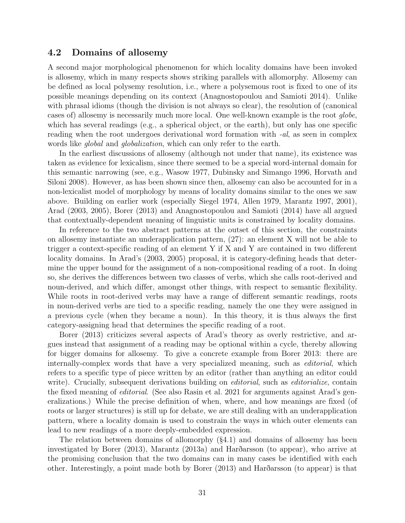### 4.2 Domains of allosemy

A second major morphological phenomenon for which locality domains have been invoked is allosemy, which in many respects shows striking parallels with allomorphy. Allosemy can be defined as local polysemy resolution, i.e., where a polysemous root is fixed to one of its possible meanings depending on its context (Anagnostopoulou and Samioti 2014). Unlike with phrasal idioms (though the division is not always so clear), the resolution of (canonical cases of) allosemy is necessarily much more local. One well-known example is the root globe, which has several readings (e.g., a spherical object, or the earth), but only has one specific reading when the root undergoes derivational word formation with -al, as seen in complex words like *global* and *globalization*, which can only refer to the earth.

In the earliest discussions of allosemy (although not under that name), its existence was taken as evidence for lexicalism, since there seemed to be a special word-internal domain for this semantic narrowing (see, e.g., Wasow 1977, Dubinsky and Simango 1996, Horvath and Siloni 2008). However, as has been shown since then, allosemy can also be accounted for in a non-lexicalist model of morphology by means of locality domains similar to the ones we saw above. Building on earlier work (especially Siegel 1974, Allen 1979, Marantz 1997, 2001), Arad (2003, 2005), Borer (2013) and Anagnostopoulou and Samioti (2014) have all argued that contextually-dependent meaning of linguistic units is constrained by locality domains.

In reference to the two abstract patterns at the outset of this section, the constraints on allosemy instantiate an underapplication pattern, (27): an element X will not be able to trigger a context-specific reading of an element Y if X and Y are contained in two different locality domains. In Arad's (2003, 2005) proposal, it is category-defining heads that determine the upper bound for the assignment of a non-compositional reading of a root. In doing so, she derives the differences between two classes of verbs, which she calls root-derived and noun-derived, and which differ, amongst other things, with respect to semantic flexibility. While roots in root-derived verbs may have a range of different semantic readings, roots in noun-derived verbs are tied to a specific reading, namely the one they were assigned in a previous cycle (when they became a noun). In this theory, it is thus always the first category-assigning head that determines the specific reading of a root.

Borer (2013) criticizes several aspects of Arad's theory as overly restrictive, and argues instead that assignment of a reading may be optional within a cycle, thereby allowing for bigger domains for allosemy. To give a concrete example from Borer 2013: there are internally-complex words that have a very specialized meaning, such as editorial, which refers to a specific type of piece written by an editor (rather than anything an editor could write). Crucially, subsequent derivations building on *editorial*, such as *editorialize*, contain the fixed meaning of editorial. (See also Rasin et al. 2021 for arguments against Arad's generalizations.) While the precise definition of when, where, and how meanings are fixed (of roots or larger structures) is still up for debate, we are still dealing with an underapplication pattern, where a locality domain is used to constrain the ways in which outer elements can lead to new readings of a more deeply-embedded expression.

The relation between domains of allomorphy (§4.1) and domains of allosemy has been investigated by Borer  $(2013)$ , Marantz  $(2013a)$  and Hardarsson (to appear), who arrive at the promising conclusion that the two domains can in many cases be identified with each other. Interestingly, a point made both by Borer (2013) and Hardarsson (to appear) is that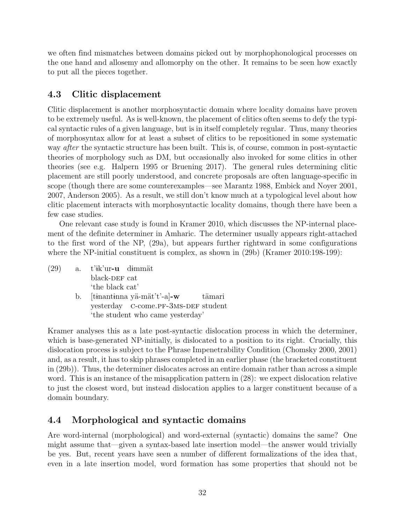we often find mismatches between domains picked out by morphophonological processes on the one hand and allosemy and allomorphy on the other. It remains to be seen how exactly to put all the pieces together.

## 4.3 Clitic displacement

Clitic displacement is another morphosyntactic domain where locality domains have proven to be extremely useful. As is well-known, the placement of clitics often seems to defy the typical syntactic rules of a given language, but is in itself completely regular. Thus, many theories of morphosyntax allow for at least a subset of clitics to be repositioned in some systematic way after the syntactic structure has been built. This is, of course, common in post-syntactic theories of morphology such as DM, but occasionally also invoked for some clitics in other theories (see e.g. Halpern 1995 or Bruening 2017). The general rules determining clitic placement are still poorly understood, and concrete proposals are often language-specific in scope (though there are some counterexamples—see Marantz 1988, Embick and Noyer 2001, 2007, Anderson 2005). As a result, we still don't know much at a typological level about how clitic placement interacts with morphosyntactic locality domains, though there have been a few case studies.

One relevant case study is found in Kramer 2010, which discusses the NP-internal placement of the definite determiner in Amharic. The determiner usually appears right-attached to the first word of the NP, (29a), but appears further rightward in some configurations where the NP-initial constituent is complex, as shown in (29b) (Kramer 2010:198-199):

 $(29)$  a. t'ik'ur-u dimmät black-DEF cat 'the black cat' b. [tinantinna yä-mät't'-a]-w yesterday C-come.PF-3MS-DEF student tämari 'the student who came yesterday'

Kramer analyses this as a late post-syntactic dislocation process in which the determiner, which is base-generated NP-initially, is dislocated to a position to its right. Crucially, this dislocation process is subject to the Phrase Impenetrability Condition (Chomsky 2000, 2001) and, as a result, it has to skip phrases completed in an earlier phase (the bracketed constituent in (29b)). Thus, the determiner dislocates across an entire domain rather than across a simple word. This is an instance of the misapplication pattern in (28): we expect dislocation relative to just the closest word, but instead dislocation applies to a larger constituent because of a domain boundary.

# 4.4 Morphological and syntactic domains

Are word-internal (morphological) and word-external (syntactic) domains the same? One might assume that—given a syntax-based late insertion model—the answer would trivially be yes. But, recent years have seen a number of different formalizations of the idea that, even in a late insertion model, word formation has some properties that should not be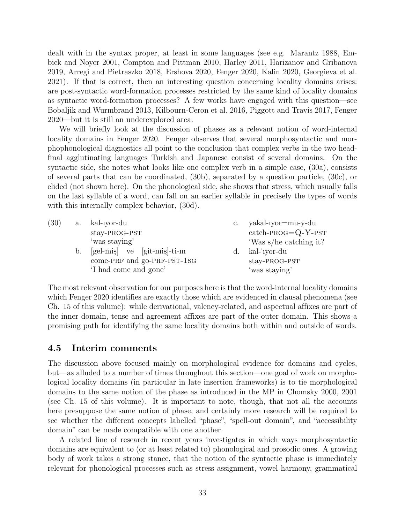dealt with in the syntax proper, at least in some languages (see e.g. Marantz 1988, Embick and Noyer 2001, Compton and Pittman 2010, Harley 2011, Harizanov and Gribanova 2019, Arregi and Pietraszko 2018, Ershova 2020, Fenger 2020, Kalin 2020, Georgieva et al. 2021). If that is correct, then an interesting question concerning locality domains arises: are post-syntactic word-formation processes restricted by the same kind of locality domains as syntactic word-formation processes? A few works have engaged with this question—see Bobaljik and Wurmbrand 2013, Kilbourn-Ceron et al. 2016, Piggott and Travis 2017, Fenger 2020—but it is still an underexplored area.

We will briefly look at the discussion of phases as a relevant notion of word-internal locality domains in Fenger 2020. Fenger observes that several morphosyntactic and morphophonological diagnostics all point to the conclusion that complex verbs in the two headfinal agglutinating languages Turkish and Japanese consist of several domains. On the syntactic side, she notes what looks like one complex verb in a simple case, (30a), consists of several parts that can be coordinated, (30b), separated by a question particle, (30c), or elided (not shown here). On the phonological side, she shows that stress, which usually falls on the last syllable of a word, can fall on an earlier syllable in precisely the types of words with this internally complex behavior, (30d).

| (30)<br>a. kal-iyor-du<br>$\rm{c}$ .         | yakal-1yor=mu-y-du     |
|----------------------------------------------|------------------------|
| stay-PROG-PST                                | $catch-PROG = Q-Y-PST$ |
| 'was staying'                                | 'Was s/he catching it? |
| $[gel-mis]$ ve $[git-mis]$ -ti-m<br>b.<br>d. | kal-'iyor-du           |
| come-PRF and go-PRF-PST-1SG                  | stay-PROG-PST          |
| I had come and gone'                         | 'was staying'          |

The most relevant observation for our purposes here is that the word-internal locality domains which Fenger 2020 identifies are exactly those which are evidenced in clausal phenomena (see Ch. 15 of this volume): while derivational, valency-related, and aspectual affixes are part of the inner domain, tense and agreement affixes are part of the outer domain. This shows a promising path for identifying the same locality domains both within and outside of words.

#### 4.5 Interim comments

The discussion above focused mainly on morphological evidence for domains and cycles, but—as alluded to a number of times throughout this section—one goal of work on morphological locality domains (in particular in late insertion frameworks) is to tie morphological domains to the same notion of the phase as introduced in the MP in Chomsky 2000, 2001 (see Ch. 15 of this volume). It is important to note, though, that not all the accounts here presuppose the same notion of phase, and certainly more research will be required to see whether the different concepts labelled "phase", "spell-out domain", and "accessibility domain" can be made compatible with one another.

A related line of research in recent years investigates in which ways morphosyntactic domains are equivalent to (or at least related to) phonological and prosodic ones. A growing body of work takes a strong stance, that the notion of the syntactic phase is immediately relevant for phonological processes such as stress assignment, vowel harmony, grammatical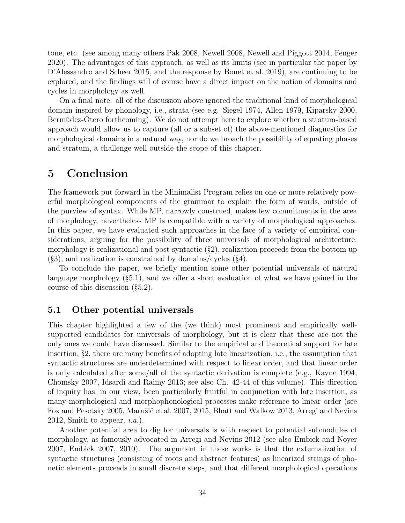tone, etc. (see among many others Pak 2008, Newell 2008, Newell and Piggott 2014, Fenger 2020). The advantages of this approach, as well as its limits (see in particular the paper by D'Alessandro and Scheer 2015, and the response by Bonet et al. 2019), are continuing to be explored, and the findings will of course have a direct impact on the notion of domains and cycles in morphology as well.

On a final note: all of the discussion above ignored the traditional kind of morphological domain inspired by phonology, i.e., strata (see e.g. Siegel 1974, Allen 1979, Kiparsky 2000, Bermúdez-Otero forthcoming). We do not attempt here to explore whether a stratum-based approach would allow us to capture (all or a subset of) the above-mentioned diagnostics for morphological domains in a natural way, nor do we broach the possibility of equating phases and stratum, a challenge well outside the scope of this chapter.

# 5 Conclusion

The framework put forward in the Minimalist Program relies on one or more relatively powerful morphological components of the grammar to explain the form of words, outside of the purview of syntax. While MP, narrowly construed, makes few commitments in the area of morphology, nevertheless MP is compatible with a variety of morphological approaches. In this paper, we have evaluated such approaches in the face of a variety of empirical considerations, arguing for the possibility of three universals of morphological architecture: morphology is realizational and post-syntactic  $(\S 2)$ , realization proceeds from the bottom up  $(\S3)$ , and realization is constrained by domains/cycles  $(\S4)$ .

To conclude the paper, we briefly mention some other potential universals of natural language morphology (§5.1), and we offer a short evaluation of what we have gained in the course of this discussion (§5.2).

## 5.1 Other potential universals

This chapter highlighted a few of the (we think) most prominent and empirically wellsupported candidates for universals of morphology, but it is clear that these are not the only ones we could have discussed. Similar to the empirical and theoretical support for late insertion, §2, there are many benefits of adopting late linearization, i.e., the assumption that syntactic structures are underdetermined with respect to linear order, and that linear order is only calculated after some/all of the syntactic derivation is complete (e.g., Kayne 1994, Chomsky 2007, Idsardi and Raimy 2013; see also Ch. 42-44 of this volume). This direction of inquiry has, in our view, been particularly fruitful in conjunction with late insertion, as many morphological and morphophonological processes make reference to linear order (see Fox and Pesetsky 2005, Marušič et al. 2007, 2015, Bhatt and Walkow 2013, Arregi and Nevins 2012, Smith to appear,  $i.a.$ ).

Another potential area to dig for universals is with respect to potential submodules of morphology, as famously advocated in Arregi and Nevins 2012 (see also Embick and Noyer 2007, Embick 2007, 2010). The argument in these works is that the externalization of syntactic structures (consisting of roots and abstract features) as linearized strings of phonetic elements proceeds in small discrete steps, and that different morphological operations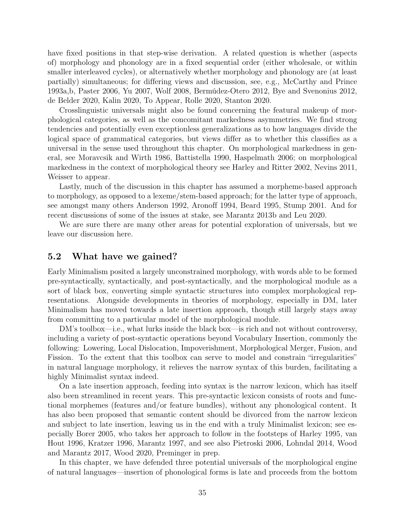have fixed positions in that step-wise derivation. A related question is whether (aspects of) morphology and phonology are in a fixed sequential order (either wholesale, or within smaller interleaved cycles), or alternatively whether morphology and phonology are (at least partially) simultaneous; for differing views and discussion, see, e.g., McCarthy and Prince 1993a,b, Paster 2006, Yu 2007, Wolf 2008, Bermúdez-Otero 2012, Bye and Svenonius 2012, de Belder 2020, Kalin 2020, To Appear, Rolle 2020, Stanton 2020.

Crosslinguistic universals might also be found concerning the featural makeup of morphological categories, as well as the concomitant markedness asymmetries. We find strong tendencies and potentially even exceptionless generalizations as to how languages divide the logical space of grammatical categories, but views differ as to whether this classifies as a universal in the sense used throughout this chapter. On morphological markedness in general, see Moravcsik and Wirth 1986, Battistella 1990, Haspelmath 2006; on morphological markedness in the context of morphological theory see Harley and Ritter 2002, Nevins 2011, Weisser to appear.

Lastly, much of the discussion in this chapter has assumed a morpheme-based approach to morphology, as opposed to a lexeme/stem-based approach; for the latter type of approach, see amongst many others Anderson 1992, Aronoff 1994, Beard 1995, Stump 2001. And for recent discussions of some of the issues at stake, see Marantz 2013b and Leu 2020.

We are sure there are many other areas for potential exploration of universals, but we leave our discussion here.

#### 5.2 What have we gained?

Early Minimalism posited a largely unconstrained morphology, with words able to be formed pre-syntactically, syntactically, and post-syntactically, and the morphological module as a sort of black box, converting simple syntactic structures into complex morphological representations. Alongside developments in theories of morphology, especially in DM, later Minimalism has moved towards a late insertion approach, though still largely stays away from committing to a particular model of the morphological module.

DM's toolbox—i.e., what lurks inside the black box—is rich and not without controversy, including a variety of post-syntactic operations beyond Vocabulary Insertion, commonly the following: Lowering, Local Dislocation, Impoverishment, Morphological Merger, Fusion, and Fission. To the extent that this toolbox can serve to model and constrain "irregularities" in natural language morphology, it relieves the narrow syntax of this burden, facilitating a highly Minimalist syntax indeed.

On a late insertion approach, feeding into syntax is the narrow lexicon, which has itself also been streamlined in recent years. This pre-syntactic lexicon consists of roots and functional morphemes (features and/or feature bundles), without any phonological content. It has also been proposed that semantic content should be divorced from the narrow lexicon and subject to late insertion, leaving us in the end with a truly Minimalist lexicon; see especially Borer 2005, who takes her approach to follow in the footsteps of Harley 1995, van Hout 1996, Kratzer 1996, Marantz 1997, and see also Pietroski 2006, Lohndal 2014, Wood and Marantz 2017, Wood 2020, Preminger in prep.

In this chapter, we have defended three potential universals of the morphological engine of natural languages—insertion of phonological forms is late and proceeds from the bottom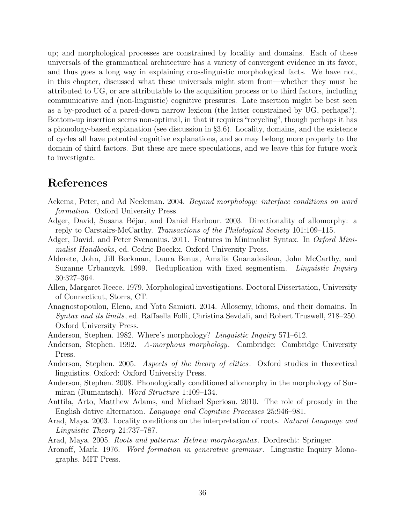up; and morphological processes are constrained by locality and domains. Each of these universals of the grammatical architecture has a variety of convergent evidence in its favor, and thus goes a long way in explaining crosslinguistic morphological facts. We have not, in this chapter, discussed what these universals might stem from—whether they must be attributed to UG, or are attributable to the acquisition process or to third factors, including communicative and (non-linguistic) cognitive pressures. Late insertion might be best seen as a by-product of a pared-down narrow lexicon (the latter constrained by UG, perhaps?). Bottom-up insertion seems non-optimal, in that it requires "recycling", though perhaps it has a phonology-based explanation (see discussion in §3.6). Locality, domains, and the existence of cycles all have potential cognitive explanations, and so may belong more properly to the domain of third factors. But these are mere speculations, and we leave this for future work to investigate.

# References

- Ackema, Peter, and Ad Neeleman. 2004. Beyond morphology: interface conditions on word formation. Oxford University Press.
- Adger, David, Susana Béjar, and Daniel Harbour. 2003. Directionality of allomorphy: a reply to Carstairs-McCarthy. Transactions of the Philological Society 101:109–115.
- Adger, David, and Peter Svenonius. 2011. Features in Minimalist Syntax. In Oxford Minimalist Handbooks, ed. Cedric Boeckx. Oxford University Press.
- Alderete, John, Jill Beckman, Laura Benua, Amalia Gnanadesikan, John McCarthy, and Suzanne Urbanczyk. 1999. Reduplication with fixed segmentism. *Linguistic Inquiry* 30:327–364.
- Allen, Margaret Reece. 1979. Morphological investigations. Doctoral Dissertation, University of Connecticut, Storrs, CT.
- Anagnostopoulou, Elena, and Yota Samioti. 2014. Allosemy, idioms, and their domains. In Syntax and its limits, ed. Raffaella Folli, Christina Sevdali, and Robert Truswell, 218–250. Oxford University Press.
- Anderson, Stephen. 1982. Where's morphology? Linguistic Inquiry 571–612.
- Anderson, Stephen. 1992. A-morphous morphology. Cambridge: Cambridge University Press.
- Anderson, Stephen. 2005. Aspects of the theory of clitics. Oxford studies in theoretical linguistics. Oxford: Oxford University Press.
- Anderson, Stephen. 2008. Phonologically conditioned allomorphy in the morphology of Surmiran (Rumantsch). Word Structure 1:109–134.
- Anttila, Arto, Matthew Adams, and Michael Speriosu. 2010. The role of prosody in the English dative alternation. Language and Cognitive Processes 25:946–981.
- Arad, Maya. 2003. Locality conditions on the interpretation of roots. Natural Language and Linguistic Theory 21:737–787.
- Arad, Maya. 2005. Roots and patterns: Hebrew morphosyntax . Dordrecht: Springer.
- Aronoff, Mark. 1976. Word formation in generative grammar. Linguistic Inquiry Monographs. MIT Press.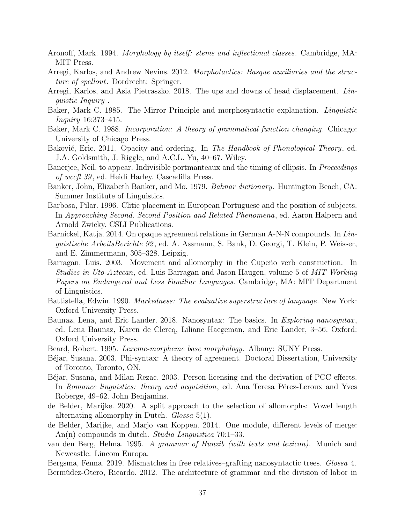- Aronoff, Mark. 1994. Morphology by itself: stems and inflectional classes. Cambridge, MA: MIT Press.
- Arregi, Karlos, and Andrew Nevins. 2012. Morphotactics: Basque auxiliaries and the structure of spellout. Dordrecht: Springer.
- Arregi, Karlos, and Asia Pietraszko. 2018. The ups and downs of head displacement. Linguistic Inquiry .
- Baker, Mark C. 1985. The Mirror Principle and morphosyntactic explanation. Linguistic Inquiry 16:373–415.
- Baker, Mark C. 1988. *Incorporation: A theory of grammatical function changing.* Chicago: University of Chicago Press.
- Baković, Eric. 2011. Opacity and ordering. In The Handbook of Phonological Theory, ed. J.A. Goldsmith, J. Riggle, and A.C.L. Yu, 40–67. Wiley.
- Banerjee, Neil. to appear. Indivisible portmanteaux and the timing of ellipsis. In *Proceedings* of wccfl 39 , ed. Heidi Harley. Cascadilla Press.
- Banker, John, Elizabeth Banker, and Mo. 1979. Bahnar dictionary. Huntington Beach, CA: Summer Institute of Linguistics.
- Barbosa, Pilar. 1996. Clitic placement in European Portuguese and the position of subjects. In Approaching Second. Second Position and Related Phenomena, ed. Aaron Halpern and Arnold Zwicky. CSLI Publications.
- Barnickel, Katja. 2014. On opaque agreement relations in German A-N-N compounds. In Linguistische ArbeitsBerichte 92 , ed. A. Assmann, S. Bank, D. Georgi, T. Klein, P. Weisser, and E. Zimmermann, 305–328. Leipzig.
- Barragan, Luis. 2003. Movement and allomorphy in the Cupeño verb construction. In Studies in Uto-Aztecan, ed. Luis Barragan and Jason Haugen, volume 5 of MIT Working Papers on Endangered and Less Familiar Languages. Cambridge, MA: MIT Department of Linguistics.
- Battistella, Edwin. 1990. Markedness: The evaluative superstructure of language. New York: Oxford University Press.
- Baunaz, Lena, and Eric Lander. 2018. Nanosyntax: The basics. In Exploring nanosyntax, ed. Lena Baunaz, Karen de Clercq, Liliane Haegeman, and Eric Lander, 3–56. Oxford: Oxford University Press.
- Beard, Robert. 1995. Lexeme-morpheme base morphology. Albany: SUNY Press.
- Béjar, Susana. 2003. Phi-syntax: A theory of agreement. Doctoral Dissertation, University of Toronto, Toronto, ON.
- Béjar, Susana, and Milan Rezac. 2003. Person licensing and the derivation of PCC effects. In Romance linguistics: theory and acquisition, ed. Ana Teresa Pérez-Leroux and Yves Roberge, 49–62. John Benjamins.
- de Belder, Marijke. 2020. A split approach to the selection of allomorphs: Vowel length alternating allomorphy in Dutch. Glossa 5(1).
- de Belder, Marijke, and Marjo van Koppen. 2014. One module, different levels of merge: An(n) compounds in dutch. *Studia Linguistica* 70:1–33.
- van den Berg, Helma. 1995. A grammar of Hunzib (with texts and lexicon). Munich and Newcastle: Lincom Europa.
- Bergsma, Fenna. 2019. Mismatches in free relatives–grafting nanosyntactic trees. Glossa 4. Bermúdez-Otero, Ricardo. 2012. The architecture of grammar and the division of labor in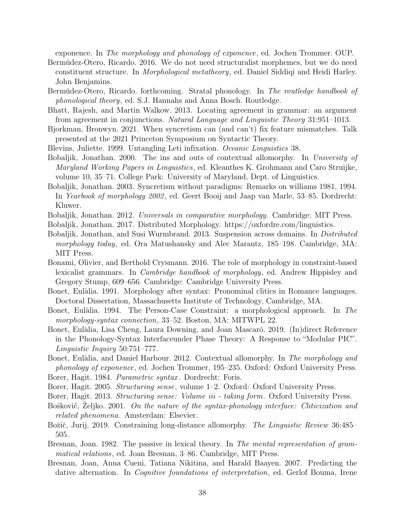exponence. In The morphology and phonology of exponence, ed. Jochen Trommer. OUP.

- Bermúdez-Otero, Ricardo. 2016. We do not need structuralist morphemes, but we do need constituent structure. In Morphological metatheory, ed. Daniel Siddiqi and Heidi Harley. John Benjamins.
- Bermúdez-Otero, Ricardo. forthcoming. Stratal phonology. In The routledge handbook of phonological theory, ed. S.J. Hannahs and Anna Bosch. Routledge.
- Bhatt, Rajesh, and Martin Walkow. 2013. Locating agreement in grammar: an argument from agreement in conjunctions. Natural Language and Linguistic Theory 31:951–1013.
- Bjorkman, Bronwyn. 2021. When syncretism can (and can't) fix feature mismatches. Talk presented at the 2021 Princeton Symposium on Syntactic Theory.
- Blevins, Juliette. 1999. Untangling Leti infixation. Oceanic Linguistics 38.
- Bobaljik, Jonathan. 2000. The ins and outs of contextual allomorphy. In University of Maryland Working Papers in Linguistics, ed. Kleanthes K. Grohmann and Caro Struijke, volume 10, 35–71. College Park: University of Maryland, Dept. of Linguistics.
- Bobaljik, Jonathan. 2003. Syncretism without paradigms: Remarks on williams 1981, 1994. In Yearbook of morphology 2002 , ed. Geert Booij and Jaap van Marle, 53–85. Dordrecht: Kluwer.
- Bobaljik, Jonathan. 2012. Universals in comparative morphology. Cambridge: MIT Press.
- Bobaljik, Jonathan. 2017. Distributed Morphology. https://oxfordre.com/linguistics.
- Bobaljik, Jonathan, and Susi Wurmbrand. 2013. Suspension across domains. In Distributed morphology today, ed. Ora Matushansky and Alec Marantz, 185–198. Cambridge, MA: MIT Press.
- Bonami, Olivier, and Berthold Crysmann. 2016. The role of morphology in constraint-based lexicalist grammars. In Cambridge handbook of morphology, ed. Andrew Hippisley and Gregory Stump, 609–656. Cambridge: Cambridge University Press.
- Bonet, Eulàlia. 1991. Morphology after syntax: Pronominal clitics in Romance languages. Doctoral Dissertation, Massachusetts Institute of Technology, Cambridge, MA.
- Bonet, Eulàlia. 1994. The Person-Case Constraint: a morphological approach. In The morphology-syntax connection, 33–52. Boston, MA: MITWPL 22.
- Bonet, Eulàlia, Lisa Cheng, Laura Downing, and Joan Mascaró. 2019. (In)direct Reference in the Phonology-Syntax Interfaceunder Phase Theory: A Response to "Modular PIC". Linguistic Inquiry 50:751–777.
- Bonet, Eulàlia, and Daniel Harbour. 2012. Contextual allomorphy. In The morphology and phonology of exponence, ed. Jochen Trommer, 195–235. Oxford: Oxford University Press. Borer, Hagit. 1984. *Parametric syntax*. Dordrecht: Foris.
- Borer, Hagit. 2005. Structuring sense, volume 1–2. Oxford: Oxford University Press.
- Borer, Hagit. 2013. Structuring sense: Volume iii taking form. Oxford University Press.
- Bošković, Zeljko. 2001. On the nature of the syntax-phonology interface: Cliticization and related phenomena. Amsterdam: Elsevier.
- Božič, Jurij. 2019. Constraining long-distance allomorphy. The Linguistic Review 36:485– 505.
- Bresnan, Joan. 1982. The passive in lexical theory. In The mental representation of grammatical relations, ed. Joan Bresnan, 3–86. Cambridge, MIT Press.
- Bresnan, Joan, Anna Cueni, Tatiana Nikitina, and Harald Baayen. 2007. Predicting the dative alternation. In *Cognitive foundations of interpretation*, ed. Gerlof Bouma, Irene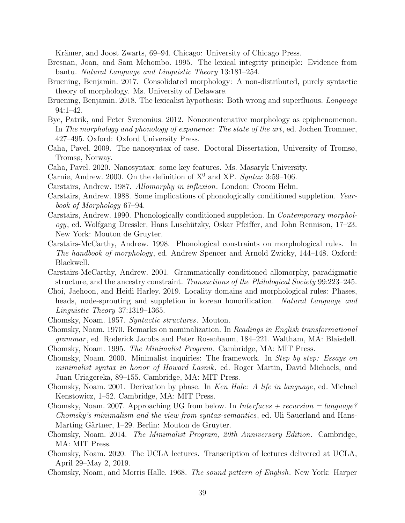Krämer, and Joost Zwarts, 69–94. Chicago: University of Chicago Press.

- Bresnan, Joan, and Sam Mchombo. 1995. The lexical integrity principle: Evidence from bantu. Natural Language and Linguistic Theory 13:181–254.
- Bruening, Benjamin. 2017. Consolidated morphology: A non-distributed, purely syntactic theory of morphology. Ms. University of Delaware.
- Bruening, Benjamin. 2018. The lexicalist hypothesis: Both wrong and superfluous. Language 94:1–42.
- Bye, Patrik, and Peter Svenonius. 2012. Nonconcatenative morphology as epiphenomenon. In The morphology and phonology of exponence: The state of the art, ed. Jochen Trommer, 427–495. Oxford: Oxford University Press.
- Caha, Pavel. 2009. The nanosyntax of case. Doctoral Dissertation, University of Tromsø, Tromsø, Norway.
- Caha, Pavel. 2020. Nanosyntax: some key features. Ms. Masaryk University.
- Carnie, Andrew. 2000. On the definition of  $X^0$  and XP. Syntax 3:59–106.

Carstairs, Andrew. 1987. Allomorphy in inflexion. London: Croom Helm.

- Carstairs, Andrew. 1988. Some implications of phonologically conditioned suppletion. Yearbook of Morphology 67–94.
- Carstairs, Andrew. 1990. Phonologically conditioned suppletion. In Contemporary morphology, ed. Wolfgang Dressler, Hans Luschützky, Oskar Pfeiffer, and John Rennison, 17–23. New York: Mouton de Gruyter.
- Carstairs-McCarthy, Andrew. 1998. Phonological constraints on morphological rules. In The handbook of morphology, ed. Andrew Spencer and Arnold Zwicky, 144–148. Oxford: Blackwell.
- Carstairs-McCarthy, Andrew. 2001. Grammatically conditioned allomorphy, paradigmatic structure, and the ancestry constraint. Transactions of the Philological Society 99:223–245.
- Choi, Jaehoon, and Heidi Harley. 2019. Locality domains and morphological rules: Phases, heads, node-sprouting and suppletion in korean honorification. Natural Language and Linguistic Theory 37:1319–1365.
- Chomsky, Noam. 1957. Syntactic structures. Mouton.
- Chomsky, Noam. 1970. Remarks on nominalization. In Readings in English transformational grammar , ed. Roderick Jacobs and Peter Rosenbaum, 184–221. Waltham, MA: Blaisdell.
- Chomsky, Noam. 1995. The Minimalist Program. Cambridge, MA: MIT Press.
- Chomsky, Noam. 2000. Minimalist inquiries: The framework. In Step by step: Essays on minimalist syntax in honor of Howard Lasnik , ed. Roger Martin, David Michaels, and Juan Uriagereka, 89–155. Cambridge, MA: MIT Press.
- Chomsky, Noam. 2001. Derivation by phase. In Ken Hale: A life in language, ed. Michael Kenstowicz, 1–52. Cambridge, MA: MIT Press.
- Chomsky, Noam. 2007. Approaching UG from below. In *Interfaces + recursion = language?* Chomsky's minimalism and the view from syntax-semantics, ed. Uli Sauerland and Hans-Marting Gärtner, 1–29. Berlin: Mouton de Gruyter.
- Chomsky, Noam. 2014. The Minimalist Program, 20th Anniversary Edition. Cambridge, MA: MIT Press.
- Chomsky, Noam. 2020. The UCLA lectures. Transcription of lectures delivered at UCLA, April 29–May 2, 2019.
- Chomsky, Noam, and Morris Halle. 1968. The sound pattern of English. New York: Harper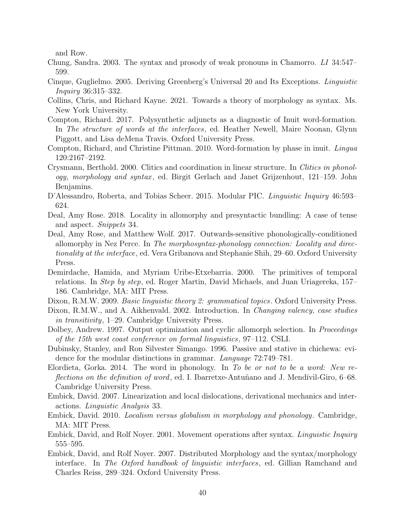and Row.

- Chung, Sandra. 2003. The syntax and prosody of weak pronouns in Chamorro. LI 34:547– 599.
- Cinque, Guglielmo. 2005. Deriving Greenberg's Universal 20 and Its Exceptions. Linguistic Inquiry 36:315–332.
- Collins, Chris, and Richard Kayne. 2021. Towards a theory of morphology as syntax. Ms. New York University.
- Compton, Richard. 2017. Polysynthetic adjuncts as a diagnostic of Inuit word-formation. In The structure of words at the interfaces, ed. Heather Newell, Maire Noonan, Glynn Piggott, and Lisa deMena Travis. Oxford University Press.
- Compton, Richard, and Christine Pittman. 2010. Word-formation by phase in inuit. Lingua 120:2167–2192.
- Crysmann, Berthold. 2000. Clitics and coordination in linear structure. In Clitics in phonology, morphology and syntax , ed. Birgit Gerlach and Janet Grijzenhout, 121–159. John Benjamins.
- D'Alessandro, Roberta, and Tobias Scheer. 2015. Modular PIC. *Linguistic Inquiry* 46:593– 624.
- Deal, Amy Rose. 2018. Locality in allomorphy and presyntactic bundling: A case of tense and aspect. Snippets 34.
- Deal, Amy Rose, and Matthew Wolf. 2017. Outwards-sensitive phonologically-conditioned allomorphy in Nez Perce. In The morphosyntax-phonology connection: Locality and directionality at the interface, ed. Vera Gribanova and Stephanie Shih, 29–60. Oxford University Press.
- Demirdache, Hamida, and Myriam Uribe-Etxebarria. 2000. The primitives of temporal relations. In Step by step, ed. Roger Martin, David Michaels, and Juan Uriagereka, 157– 186. Cambridge, MA: MIT Press.
- Dixon, R.M.W. 2009. *Basic linguistic theory 2: grammatical topics*. Oxford University Press.
- Dixon, R.M.W., and A. Aikhenvald. 2002. Introduction. In *Changing valency, case studies* in transitivity, 1–29. Cambridge University Press.
- Dolbey, Andrew. 1997. Output optimization and cyclic allomorph selection. In *Proceedings* of the 15th west coast conference on formal linguistics, 97–112. CSLI.
- Dubinsky, Stanley, and Ron Silvester Simango. 1996. Passive and stative in chichewa: evidence for the modular distinctions in grammar. Language 72:749–781.
- Elordieta, Gorka. 2014. The word in phonology. In To be or not to be a word: New reflections on the definition of word, ed. I. Ibarretxe-Antuñano and J. Mendívil-Giro, 6–68. Cambridge University Press.
- Embick, David. 2007. Linearization and local dislocations, derivational mechanics and interactions. Linguistic Analysis 33.
- Embick, David. 2010. Localism versus globalism in morphology and phonology . Cambridge, MA: MIT Press.
- Embick, David, and Rolf Noyer. 2001. Movement operations after syntax. Linguistic Inquiry 555–595.
- Embick, David, and Rolf Noyer. 2007. Distributed Morphology and the syntax/morphology interface. In The Oxford handbook of linguistic interfaces, ed. Gillian Ramchand and Charles Reiss, 289–324. Oxford University Press.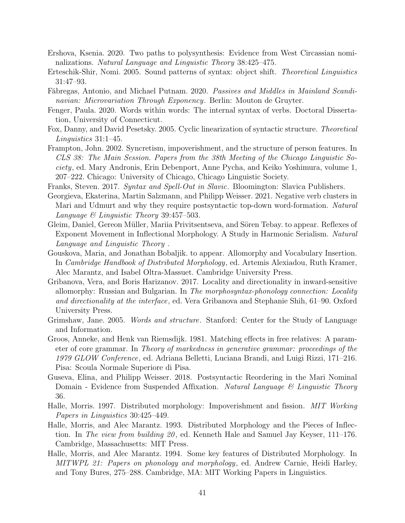- Ershova, Ksenia. 2020. Two paths to polysynthesis: Evidence from West Circassian nominalizations. Natural Language and Linguistic Theory 38:425–475.
- Erteschik-Shir, Nomi. 2005. Sound patterns of syntax: object shift. Theoretical Linguistics 31:47–93.
- Fábregas, Antonio, and Michael Putnam. 2020. Passives and Middles in Mainland Scandinavian: Microvariation Through Exponency. Berlin: Mouton de Gruyter.
- Fenger, Paula. 2020. Words within words: The internal syntax of verbs. Doctoral Dissertation, University of Connecticut.
- Fox, Danny, and David Pesetsky. 2005. Cyclic linearization of syntactic structure. Theoretical Linguistics 31:1–45.
- Frampton, John. 2002. Syncretism, impoverishment, and the structure of person features. In CLS 38: The Main Session. Papers from the 38th Meeting of the Chicago Linguistic Society, ed. Mary Andronis, Erin Debenport, Anne Pycha, and Keiko Yoshimura, volume 1, 207–222. Chicago: University of Chicago, Chicago Linguistic Society.

Franks, Steven. 2017. Syntax and Spell-Out in Slavic. Bloomington: Slavica Publishers.

- Georgieva, Ekaterina, Martin Salzmann, and Philipp Weisser. 2021. Negative verb clusters in Mari and Udmurt and why they require postsyntactic top-down word-formation. Natural Language & Linguistic Theory 39:457–503.
- Gleim, Daniel, Gereon Müller, Mariia Privitsentseva, and Sören Tebay. to appear. Reflexes of Exponent Movement in Inflectional Morphology. A Study in Harmonic Serialism. Natural Language and Linguistic Theory .
- Gouskova, Maria, and Jonathan Bobaljik. to appear. Allomorphy and Vocabulary Insertion. In Cambridge Handbook of Distributed Morphology , ed. Artemis Alexiadou, Ruth Kramer, Alec Marantz, and Isabel Oltra-Massuet. Cambridge University Press.
- Gribanova, Vera, and Boris Harizanov. 2017. Locality and directionality in inward-sensitive allomorphy: Russian and Bulgarian. In The morphosyntax-phonology connection: Locality and directionality at the interface, ed. Vera Gribanova and Stephanie Shih, 61–90. Oxford University Press.
- Grimshaw, Jane. 2005. Words and structure. Stanford: Center for the Study of Language and Information.
- Groos, Anneke, and Henk van Riemsdijk. 1981. Matching effects in free relatives: A parameter of core grammar. In Theory of markedness in generative grammar: proceedings of the 1979 GLOW Conference, ed. Adriana Belletti, Luciana Brandi, and Luigi Rizzi, 171–216. Pisa: Scoula Normale Superiore di Pisa.
- Guseva, Elina, and Philipp Weisser. 2018. Postsyntactic Reordering in the Mari Nominal Domain - Evidence from Suspended Affixation. Natural Language  $\mathcal B$  Linguistic Theory 36.
- Halle, Morris. 1997. Distributed morphology: Impoverishment and fission. MIT Working Papers in Linguistics 30:425–449.
- Halle, Morris, and Alec Marantz. 1993. Distributed Morphology and the Pieces of Inflection. In The view from building 20 , ed. Kenneth Hale and Samuel Jay Keyser, 111–176. Cambridge, Massachusetts: MIT Press.
- Halle, Morris, and Alec Marantz. 1994. Some key features of Distributed Morphology. In MITWPL 21: Papers on phonology and morphology, ed. Andrew Carnie, Heidi Harley, and Tony Bures, 275–288. Cambridge, MA: MIT Working Papers in Linguistics.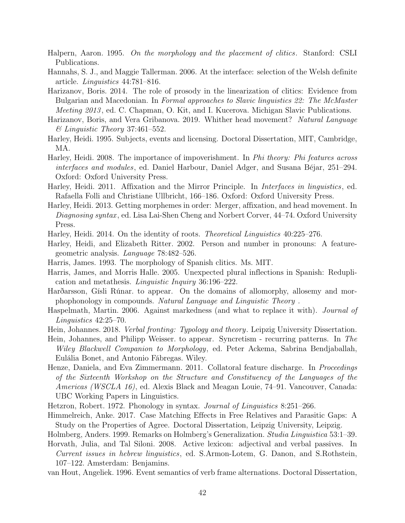- Halpern, Aaron. 1995. On the morphology and the placement of clitics. Stanford: CSLI Publications.
- Hannahs, S. J., and Maggie Tallerman. 2006. At the interface: selection of the Welsh definite article. Linguistics 44:781–816.
- Harizanov, Boris. 2014. The role of prosody in the linearization of clitics: Evidence from Bulgarian and Macedonian. In Formal approaches to Slavic linguistics 22: The McMaster Meeting 2013 , ed. C. Chapman, O. Kit, and I. Kucerova. Michigan Slavic Publications.
- Harizanov, Boris, and Vera Gribanova. 2019. Whither head movement? Natural Language & Linguistic Theory 37:461–552.
- Harley, Heidi. 1995. Subjects, events and licensing. Doctoral Dissertation, MIT, Cambridge, MA.
- Harley, Heidi. 2008. The importance of impoverishment. In *Phi theory: Phi features across* interfaces and modules, ed. Daniel Harbour, Daniel Adger, and Susana Béjar, 251–294. Oxford: Oxford University Press.
- Harley, Heidi. 2011. Affixation and the Mirror Principle. In Interfaces in linguistics, ed. Rafaella Folli and Christiane Ullbricht, 166–186. Oxford: Oxford University Press.
- Harley, Heidi. 2013. Getting morphemes in order: Merger, affixation, and head movement. In Diagnosing syntax, ed. Lisa Lai-Shen Cheng and Norbert Corver, 44–74. Oxford University Press.
- Harley, Heidi. 2014. On the identity of roots. Theoretical Linguistics 40:225–276.
- Harley, Heidi, and Elizabeth Ritter. 2002. Person and number in pronouns: A featuregeometric analysis. Language 78:482–526.
- Harris, James. 1993. The morphology of Spanish clitics. Ms. MIT.
- Harris, James, and Morris Halle. 2005. Unexpected plural inflections in Spanish: Reduplication and metathesis. Linguistic Inquiry 36:196–222.
- Harðarsson, Gísli Rúnar. to appear. On the domains of allomorphy, allosemy and morphophonology in compounds. Natural Language and Linguistic Theory .
- Haspelmath, Martin. 2006. Against markedness (and what to replace it with). Journal of Linguistics 42:25–70.
- Hein, Johannes. 2018. Verbal fronting: Typology and theory. Leipzig University Dissertation.
- Hein, Johannes, and Philipp Weisser. to appear. Syncretism recurring patterns. In The Wiley Blackwell Companion to Morphology, ed. Peter Ackema, Sabrina Bendjaballah, Eulália Bonet, and Antonio Fábregas. Wiley.
- Henze, Daniela, and Eva Zimmermann. 2011. Collatoral feature discharge. In *Proceedings* of the Sixteenth Workshop on the Structure and Constituency of the Languages of the Americas (WSCLA 16), ed. Alexis Black and Meagan Louie, 74–91. Vancouver, Canada: UBC Working Papers in Linguistics.
- Hetzron, Robert. 1972. Phonology in syntax. Journal of Linguistics 8:251–266.
- Himmelreich, Anke. 2017. Case Matching Effects in Free Relatives and Parasitic Gaps: A Study on the Properties of Agree. Doctoral Dissertation, Leipzig University, Leipzig.
- Holmberg, Anders. 1999. Remarks on Holmberg's Generalization. Studia Linguistica 53:1–39.
- Horvath, Julia, and Tal Siloni. 2008. Active lexicon: adjectival and verbal passives. In Current issues in hebrew linguistics, ed. S.Armon-Lotem, G. Danon, and S.Rothstein, 107–122. Amsterdam: Benjamins.
- van Hout, Angeliek. 1996. Event semantics of verb frame alternations. Doctoral Dissertation,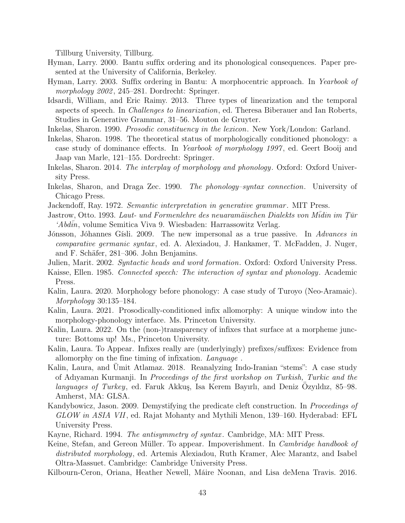Tillburg University, Tillburg.

- Hyman, Larry. 2000. Bantu suffix ordering and its phonological consequences. Paper presented at the University of California, Berkeley.
- Hyman, Larry. 2003. Suffix ordering in Bantu: A morphocentric approach. In Yearbook of morphology 2002 , 245–281. Dordrecht: Springer.
- Idsardi, William, and Eric Raimy. 2013. Three types of linearization and the temporal aspects of speech. In Challenges to linearization, ed. Theresa Biberauer and Ian Roberts, Studies in Generative Grammar, 31–56. Mouton de Gruyter.
- Inkelas, Sharon. 1990. Prosodic constituency in the lexicon. New York/London: Garland.
- Inkelas, Sharon. 1998. The theoretical status of morphologically conditioned phonology: a case study of dominance effects. In Yearbook of morphology 1997 , ed. Geert Booij and Jaap van Marle, 121–155. Dordrecht: Springer.
- Inkelas, Sharon. 2014. The interplay of morphology and phonology. Oxford: Oxford University Press.
- Inkelas, Sharon, and Draga Zec. 1990. The phonology–syntax connection. University of Chicago Press.
- Jackendoff, Ray. 1972. *Semantic interpretation in generative grammar*. MIT Press.
- Jastrow, Otto. 1993. Laut- und Formenlehre des neuaramäischen Dialekts von M $\bar{i}$ din im Tür ˙ 'Abdin, volume Semitica Viva 9. Wiesbaden: Harrassowitz Verlag.
- Jónsson, Jóhannes Gísli. 2009. The new impersonal as a true passive. In Advances in comparative germanic syntax , ed. A. Alexiadou, J. Hankamer, T. McFadden, J. Nuger, and F. Schäfer, 281–306. John Benjamins.
- Julien, Marit. 2002. Syntactic heads and word formation. Oxford: Oxford University Press.
- Kaisse, Ellen. 1985. *Connected speech: The interaction of syntax and phonology*. Academic Press.
- Kalin, Laura. 2020. Morphology before phonology: A case study of Turoyo (Neo-Aramaic). Morphology 30:135–184.
- Kalin, Laura. 2021. Prosodically-conditioned infix allomorphy: A unique window into the morphology-phonology interface. Ms. Princeton University.
- Kalin, Laura. 2022. On the (non-)transparency of infixes that surface at a morpheme juncture: Bottoms up! Ms., Princeton University.
- Kalin, Laura. To Appear. Infixes really are (underlyingly) prefixes/suffixes: Evidence from allomorphy on the fine timing of infixation. Language .
- Kalin, Laura, and Umit Atlamaz. 2018. Reanalyzing Indo-Iranian "stems": A case study of Adıyaman Kurmanji. In Proceedings of the first workshop on Turkish, Turkic and the languages of Turkey, ed. Faruk Akkuş, Isa Kerem Bayırlı, and Deniz Ozyıldız, 85–98. Amherst, MA: GLSA.
- Kandybowicz, Jason. 2009. Demystifying the predicate cleft construction. In Proceedings of GLOW in ASIA VII, ed. Rajat Mohanty and Mythili Menon, 139–160. Hyderabad: EFL University Press.
- Kayne, Richard. 1994. *The antisymmetry of syntax*. Cambridge, MA: MIT Press.
- Keine, Stefan, and Gereon Müller. To appear. Impoverishment. In *Cambridge handbook of* distributed morphology, ed. Artemis Alexiadou, Ruth Kramer, Alec Marantz, and Isabel Oltra-Massuet. Cambridge: Cambridge University Press.
- Kilbourn-Ceron, Oriana, Heather Newell, Máire Noonan, and Lisa deMena Travis. 2016.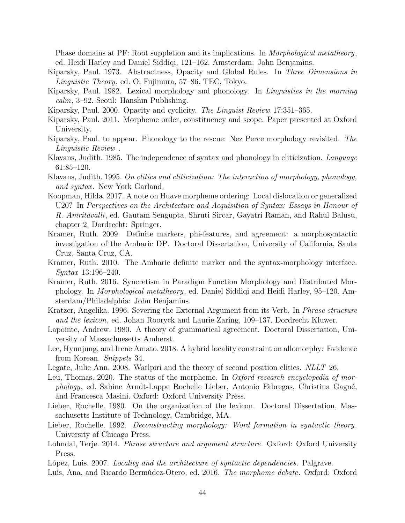Phase domains at PF: Root suppletion and its implications. In *Morphological metatheory*, ed. Heidi Harley and Daniel Siddiqi, 121–162. Amsterdam: John Benjamins.

- Kiparsky, Paul. 1973. Abstractness, Opacity and Global Rules. In Three Dimensions in Linguistic Theory, ed. O. Fujimura, 57–86. TEC, Tokyo.
- Kiparsky, Paul. 1982. Lexical morphology and phonology. In Linguistics in the morning calm, 3–92. Seoul: Hanshin Publishing.
- Kiparsky, Paul. 2000. Opacity and cyclicity. The Linguist Review 17:351–365.
- Kiparsky, Paul. 2011. Morpheme order, constituency and scope. Paper presented at Oxford University.
- Kiparsky, Paul. to appear. Phonology to the rescue: Nez Perce morphology revisited. The Linguistic Review .
- Klavans, Judith. 1985. The independence of syntax and phonology in cliticization. Language 61:85–120.
- Klavans, Judith. 1995. On clitics and cliticization: The interaction of morphology, phonology, and syntax. New York Garland.
- Koopman, Hilda. 2017. A note on Huave morpheme ordering: Local dislocation or generalized U20? In Perspectives on the Architecture and Acquisition of Syntax: Essays in Honour of R. Amritavalli, ed. Gautam Sengupta, Shruti Sircar, Gayatri Raman, and Rahul Balusu, chapter 2. Dordrecht: Springer.
- Kramer, Ruth. 2009. Definite markers, phi-features, and agreement: a morphosyntactic investigation of the Amharic DP. Doctoral Dissertation, University of California, Santa Cruz, Santa Cruz, CA.
- Kramer, Ruth. 2010. The Amharic definite marker and the syntax-morphology interface. Syntax 13:196–240.
- Kramer, Ruth. 2016. Syncretism in Paradigm Function Morphology and Distributed Morphology. In Morphological metatheory, ed. Daniel Siddiqi and Heidi Harley, 95–120. Amsterdam/Philadelphia: John Benjamins.
- Kratzer, Angelika. 1996. Severing the External Argument from its Verb. In Phrase structure and the lexicon, ed. Johan Rooryck and Laurie Zaring, 109–137. Dordrecht Kluwer.
- Lapointe, Andrew. 1980. A theory of grammatical agreement. Doctoral Dissertation, University of Massachuesetts Amherst.
- Lee, Hyunjung, and Irene Amato. 2018. A hybrid locality constraint on allomorphy: Evidence from Korean. Snippets 34.
- Legate, Julie Ann. 2008. Warlpiri and the theory of second position clitics. NLLT 26.
- Leu, Thomas. 2020. The status of the morpheme. In *Oxford research encyclopedia of mor*phology, ed. Sabine Arndt-Lappe Rochelle Lieber, Antonio Fàbregas, Christina Gagné, and Francesca Masini. Oxford: Oxford University Press.
- Lieber, Rochelle. 1980. On the organization of the lexicon. Doctoral Dissertation, Massachusetts Institute of Technology, Cambridge, MA.
- Lieber, Rochelle. 1992. Deconstructing morphology: Word formation in syntactic theory. University of Chicago Press.
- Lohndal, Terje. 2014. *Phrase structure and argument structure*. Oxford: Oxford University Press.

López, Luis. 2007. Locality and the architecture of syntactic dependencies. Palgrave.

Luís, Ana, and Ricardo Bermúdez-Otero, ed. 2016. The morphome debate. Oxford: Oxford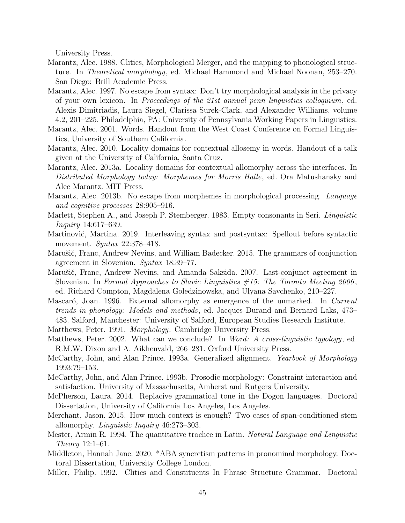University Press.

- Marantz, Alec. 1988. Clitics, Morphological Merger, and the mapping to phonological structure. In Theoretical morphology, ed. Michael Hammond and Michael Noonan, 253–270. San Diego: Brill Academic Press.
- Marantz, Alec. 1997. No escape from syntax: Don't try morphological analysis in the privacy of your own lexicon. In Proceedings of the 21st annual penn linguistics colloquium, ed. Alexis Dimitriadis, Laura Siegel, Clarissa Surek-Clark, and Alexander Williams, volume 4.2, 201–225. Philadelphia, PA: University of Pennsylvania Working Papers in Linguistics.
- Marantz, Alec. 2001. Words. Handout from the West Coast Conference on Formal Linguistics, University of Southern California.
- Marantz, Alec. 2010. Locality domains for contextual allosemy in words. Handout of a talk given at the University of California, Santa Cruz.
- Marantz, Alec. 2013a. Locality domains for contextual allomorphy across the interfaces. In Distributed Morphology today: Morphemes for Morris Halle, ed. Ora Matushansky and Alec Marantz. MIT Press.
- Marantz, Alec. 2013b. No escape from morphemes in morphological processing. Language and cognitive processes 28:905–916.
- Marlett, Stephen A., and Joseph P. Stemberger. 1983. Empty consonants in Seri. *Linguistic* Inquiry 14:617–639.
- Martinović, Martina. 2019. Interleaving syntax and postsyntax: Spellout before syntactic movement. Syntax 22:378–418.
- Marušič, Franc, Andrew Nevins, and William Badecker. 2015. The grammars of conjunction agreement in Slovenian. Syntax 18:39–77.
- Marušič, Franc, Andrew Nevins, and Amanda Saksida. 2007. Last-conjunct agreement in Slovenian. In Formal Approaches to Slavic Linguistics  $\#15$ : The Toronto Meeting 2006, ed. Richard Compton, Magdalena Goledzinowska, and Ulyana Savchenko, 210–227.
- Mascaró, Joan. 1996. External allomorphy as emergence of the unmarked. In Current trends in phonology: Models and methods, ed. Jacques Durand and Bernard Laks, 473– 483. Salford, Manchester: University of Salford, European Studies Research Institute.
- Matthews, Peter. 1991. Morphology. Cambridge University Press.
- Matthews, Peter. 2002. What can we conclude? In *Word: A cross-linguistic typology*, ed. R.M.W. Dixon and A. Aikhenvald, 266–281. Oxford University Press.
- McCarthy, John, and Alan Prince. 1993a. Generalized alignment. *Yearbook of Morphology* 1993:79–153.
- McCarthy, John, and Alan Prince. 1993b. Prosodic morphology: Constraint interaction and satisfaction. University of Massachusetts, Amherst and Rutgers University.
- McPherson, Laura. 2014. Replacive grammatical tone in the Dogon languages. Doctoral Dissertation, University of California Los Angeles, Los Angeles.
- Merchant, Jason. 2015. How much context is enough? Two cases of span-conditioned stem allomorphy. Linguistic Inquiry 46:273–303.
- Mester, Armin R. 1994. The quantitative trochee in Latin. Natural Language and Linguistic Theory 12:1–61.
- Middleton, Hannah Jane. 2020. \*ABA syncretism patterns in pronominal morphology. Doctoral Dissertation, University College London.
- Miller, Philip. 1992. Clitics and Constituents In Phrase Structure Grammar. Doctoral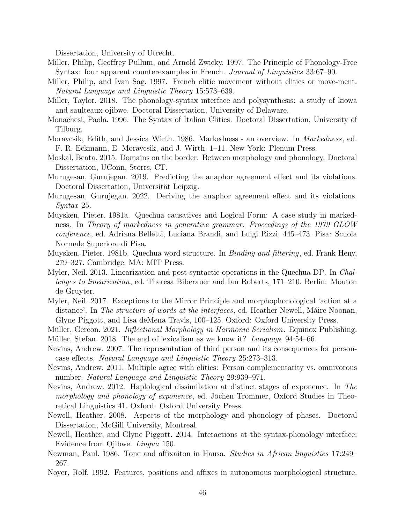Dissertation, University of Utrecht.

- Miller, Philip, Geoffrey Pullum, and Arnold Zwicky. 1997. The Principle of Phonology-Free Syntax: four apparent counterexamples in French. Journal of Linguistics 33:67–90.
- Miller, Philip, and Ivan Sag. 1997. French clitic movement without clitics or move-ment. Natural Language and Linguistic Theory 15:573–639.
- Miller, Taylor. 2018. The phonology-syntax interface and polysynthesis: a study of kiowa and saulteaux ojibwe. Doctoral Dissertation, University of Delaware.
- Monachesi, Paola. 1996. The Syntax of Italian Clitics. Doctoral Dissertation, University of Tilburg.
- Moravcsik, Edith, and Jessica Wirth. 1986. Markedness an overview. In Markedness, ed. F. R. Eckmann, E. Moravcsik, and J. Wirth, 1–11. New York: Plenum Press.
- Moskal, Beata. 2015. Domains on the border: Between morphology and phonology. Doctoral Dissertation, UConn, Storrs, CT.
- Murugesan, Gurujegan. 2019. Predicting the anaphor agreement effect and its violations. Doctoral Dissertation, Universität Leipzig.
- Murugesan, Gurujegan. 2022. Deriving the anaphor agreement effect and its violations. Syntax 25.
- Muysken, Pieter. 1981a. Quechua causatives and Logical Form: A case study in markedness. In Theory of markedness in generative grammar: Proceedings of the 1979 GLOW conference, ed. Adriana Belletti, Luciana Brandi, and Luigi Rizzi, 445–473. Pisa: Scuola Normale Superiore di Pisa.
- Muysken, Pieter. 1981b. Quechua word structure. In Binding and filtering, ed. Frank Heny, 279–327. Cambridge, MA: MIT Press.
- Myler, Neil. 2013. Linearization and post-syntactic operations in the Quechua DP. In Challenges to linearization, ed. Theresa Biberauer and Ian Roberts, 171–210. Berlin: Mouton de Gruyter.
- Myler, Neil. 2017. Exceptions to the Mirror Principle and morphophonological 'action at a distance'. In The structure of words at the interfaces, ed. Heather Newell, Máire Noonan, Glyne Piggott, and Lisa deMena Travis, 100–125. Oxford: Oxford University Press.
- Müller, Gereon. 2021. *Inflectional Morphology in Harmonic Serialism*. Equinox Publishing.
- Müller, Stefan. 2018. The end of lexicalism as we know it? Language  $94:54-66$ .
- Nevins, Andrew. 2007. The representation of third person and its consequences for personcase effects. Natural Language and Linguistic Theory 25:273–313.
- Nevins, Andrew. 2011. Multiple agree with clitics: Person complementarity vs. omnivorous number. Natural Language and Linguistic Theory 29:939–971.
- Nevins, Andrew. 2012. Haplological dissimilation at distinct stages of exponence. In The morphology and phonology of exponence, ed. Jochen Trommer, Oxford Studies in Theoretical Linguistics 41. Oxford: Oxford University Press.
- Newell, Heather. 2008. Aspects of the morphology and phonology of phases. Doctoral Dissertation, McGill University, Montreal.
- Newell, Heather, and Glyne Piggott. 2014. Interactions at the syntax-phonology interface: Evidence from Ojibwe. Lingua 150.
- Newman, Paul. 1986. Tone and affixaiton in Hausa. Studies in African linguistics 17:249– 267.
- Noyer, Rolf. 1992. Features, positions and affixes in autonomous morphological structure.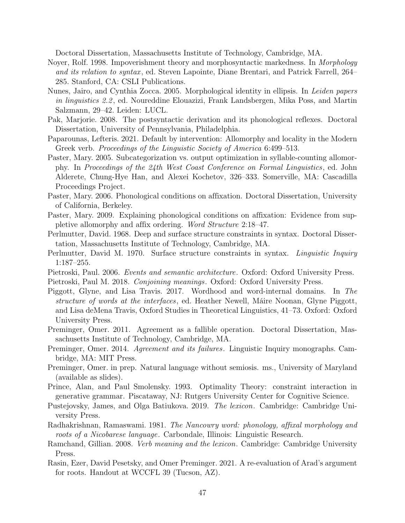Doctoral Dissertation, Massachusetts Institute of Technology, Cambridge, MA.

- Noyer, Rolf. 1998. Impoverishment theory and morphosyntactic markedness. In Morphology and its relation to syntax, ed. Steven Lapointe, Diane Brentari, and Patrick Farrell, 264– 285. Stanford, CA: CSLI Publications.
- Nunes, Jairo, and Cynthia Zocca. 2005. Morphological identity in ellipsis. In Leiden papers in linguistics 2.2 , ed. Noureddine Elouazizi, Frank Landsbergen, Mika Poss, and Martin Salzmann, 29–42. Leiden: LUCL.
- Pak, Marjorie. 2008. The postsyntactic derivation and its phonological reflexes. Doctoral Dissertation, University of Pennsylvania, Philadelphia.
- Paparounas, Lefteris. 2021. Default by intervention: Allomorphy and locality in the Modern Greek verb. Proceedings of the Linguistic Society of America 6:499–513.
- Paster, Mary. 2005. Subcategorization vs. output optimization in syllable-counting allomorphy. In Proceedings of the 24th West Coast Conference on Formal Linguistics, ed. John Alderete, Chung-Hye Han, and Alexei Kochetov, 326–333. Somerville, MA: Cascadilla Proceedings Project.
- Paster, Mary. 2006. Phonological conditions on affixation. Doctoral Dissertation, University of California, Berkeley.
- Paster, Mary. 2009. Explaining phonological conditions on affixation: Evidence from suppletive allomorphy and affix ordering. Word Structure 2:18–47.
- Perlmutter, David. 1968. Deep and surface structure constraints in syntax. Doctoral Dissertation, Massachusetts Institute of Technology, Cambridge, MA.
- Perlmutter, David M. 1970. Surface structure constraints in syntax. *Linguistic Inquiry* 1:187–255.
- Pietroski, Paul. 2006. Events and semantic architecture. Oxford: Oxford University Press.
- Pietroski, Paul M. 2018. Conjoining meanings. Oxford: Oxford University Press.
- Piggott, Glyne, and Lisa Travis. 2017. Wordhood and word-internal domains. In The structure of words at the interfaces, ed. Heather Newell, Máire Noonan, Glyne Piggott, and Lisa deMena Travis, Oxford Studies in Theoretical Linguistics, 41–73. Oxford: Oxford University Press.
- Preminger, Omer. 2011. Agreement as a fallible operation. Doctoral Dissertation, Massachusetts Institute of Technology, Cambridge, MA.
- Preminger, Omer. 2014. Agreement and its failures. Linguistic Inquiry monographs. Cambridge, MA: MIT Press.
- Preminger, Omer. in prep. Natural language without semiosis. ms., University of Maryland (available as slides).
- Prince, Alan, and Paul Smolensky. 1993. Optimality Theory: constraint interaction in generative grammar. Piscataway, NJ: Rutgers University Center for Cognitive Science.
- Pustejovsky, James, and Olga Batiukova. 2019. The lexicon. Cambridge: Cambridge University Press.
- Radhakrishnan, Ramaswami. 1981. The Nancowry word: phonology, affixal morphology and roots of a Nicobarese language. Carbondale, Illinois: Linguistic Research.
- Ramchand, Gillian. 2008. Verb meaning and the lexicon. Cambridge: Cambridge University Press.
- Rasin, Ezer, David Pesetsky, and Omer Preminger. 2021. A re-evaluation of Arad's argument for roots. Handout at WCCFL 39 (Tucson, AZ).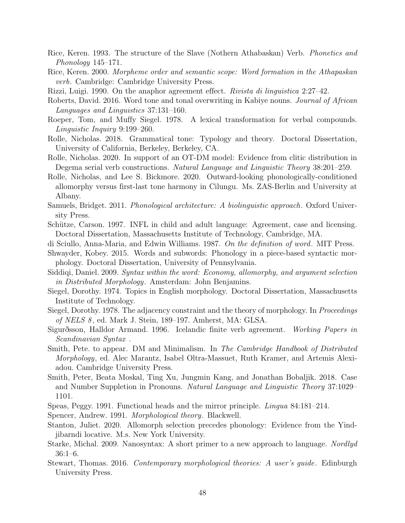- Rice, Keren. 1993. The structure of the Slave (Nothern Athabaskan) Verb. Phonetics and Phonology 145–171.
- Rice, Keren. 2000. Morpheme order and semantic scope: Word formation in the Athapaskan verb. Cambridge: Cambridge University Press.
- Rizzi, Luigi. 1990. On the anaphor agreement effect. Rivista di linguistica 2:27–42.
- Roberts, David. 2016. Word tone and tonal overwriting in Kabiye nouns. Journal of African Languages and Linguistics 37:131–160.
- Roeper, Tom, and Muffy Siegel. 1978. A lexical transformation for verbal compounds. Linguistic Inquiry 9:199–260.
- Rolle, Nicholas. 2018. Grammatical tone: Typology and theory. Doctoral Dissertation, University of California, Berkeley, Berkeley, CA.
- Rolle, Nicholas. 2020. In support of an OT-DM model: Evidence from clitic distribution in Degema serial verb constructions. Natural Language and Linguistic Theory 38:201–259.
- Rolle, Nicholas, and Lee S. Bickmore. 2020. Outward-looking phonologically-conditioned allomorphy versus first-last tone harmony in Cilungu. Ms. ZAS-Berlin and University at Albany.
- Samuels, Bridget. 2011. Phonological architecture: A biolinguistic approach. Oxford University Press.
- Schütze, Carson. 1997. INFL in child and adult language: Agreement, case and licensing. Doctoral Dissertation, Massachusetts Institute of Technology, Cambridge, MA.
- di Sciullo, Anna-Maria, and Edwin Williams. 1987. On the definition of word. MIT Press.
- Shwayder, Kobey. 2015. Words and subwords: Phonology in a piece-based syntactic morphology. Doctoral Dissertation, University of Pennsylvania.
- Siddiqi, Daniel. 2009. Syntax within the word: Economy, allomorphy, and argument selection in Distributed Morphology. Amsterdam: John Benjamins.
- Siegel, Dorothy. 1974. Topics in English morphology. Doctoral Dissertation, Massachusetts Institute of Technology.
- Siegel, Dorothy. 1978. The adjacency constraint and the theory of morphology. In Proceedings of NELS 8 , ed. Mark J. Stein, 189–197. Amherst, MA: GLSA.
- Sigurðsson, Halldor Armand. 1996. Icelandic finite verb agreement. Working Papers in Scandinavian Syntax .
- Smith, Pete. to appear. DM and Minimalism. In The Cambridge Handbook of Distributed Morphology, ed. Alec Marantz, Isabel Oltra-Massuet, Ruth Kramer, and Artemis Alexiadou. Cambridge University Press.
- Smith, Peter, Beata Moskal, Ting Xu, Jungmin Kang, and Jonathan Bobaljik. 2018. Case and Number Suppletion in Pronouns. Natural Language and Linguistic Theory 37:1029– 1101.
- Speas, Peggy. 1991. Functional heads and the mirror principle. Lingua 84:181–214.
- Spencer, Andrew. 1991. Morphological theory. Blackwell.
- Stanton, Juliet. 2020. Allomorph selection precedes phonology: Evidence from the Yindjibarndi locative. M.s. New York University.
- Starke, Michal. 2009. Nanosyntax: A short primer to a new approach to language. Nordlyd 36:1–6.
- Stewart, Thomas. 2016. Contemporary morphological theories: A user's guide . Edinburgh University Press.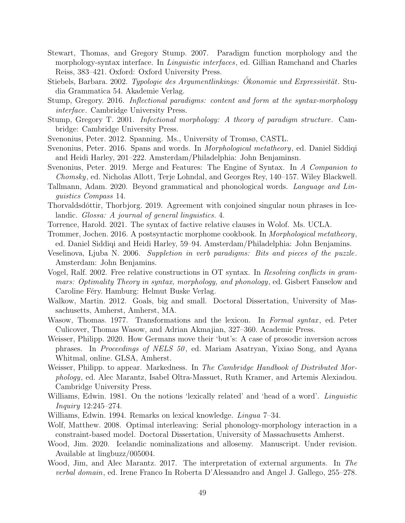- Stewart, Thomas, and Gregory Stump. 2007. Paradigm function morphology and the morphology-syntax interface. In *Linguistic interfaces*, ed. Gillian Ramchand and Charles Reiss, 383–421. Oxford: Oxford University Press.
- Stiebels, Barbara. 2002. Typologie des Argumentlinkings: Okonomie und Expressivität. Studia Grammatica 54. Akademie Verlag.
- Stump, Gregory. 2016. Inflectional paradigms: content and form at the syntax-morphology interface. Cambridge University Press.
- Stump, Gregory T. 2001. Infectional morphology: A theory of paradigm structure. Cambridge: Cambridge University Press.
- Svenonius, Peter. 2012. Spanning. Ms., University of Tromsø, CASTL.
- Svenonius, Peter. 2016. Spans and words. In Morphological metatheory, ed. Daniel Siddiqi and Heidi Harley, 201–222. Amsterdam/Philadelphia: John Benjaminsn.
- Svenonius, Peter. 2019. Merge and Features: The Engine of Syntax. In A Companion to Chomsky, ed. Nicholas Allott, Terje Lohndal, and Georges Rey, 140–157. Wiley Blackwell.
- Tallmann, Adam. 2020. Beyond grammatical and phonological words. Language and Linguistics Compass 14.
- Thorvaldsdóttir, Thorbjorg. 2019. Agreement with conjoined singular noun phrases in Icelandic. Glossa: A journal of general linguistics. 4.
- Torrence, Harold. 2021. The syntax of factive relative clauses in Wolof. Ms. UCLA.
- Trommer, Jochen. 2016. A postsyntactic morphome cookbook. In Morphological metatheory, ed. Daniel Siddiqi and Heidi Harley, 59–94. Amsterdam/Philadelphia: John Benjamins.
- Veselinova, Ljuba N. 2006. Suppletion in verb paradigms: Bits and pieces of the puzzle . Amsterdam: John Benjamins.
- Vogel, Ralf. 2002. Free relative constructions in OT syntax. In Resolving conflicts in grammars: Optimality Theory in syntax, morphology, and phonology , ed. Gisbert Fanselow and Caroline Féry. Hamburg: Helmut Buske Verlag.
- Walkow, Martin. 2012. Goals, big and small. Doctoral Dissertation, University of Massachusetts, Amherst, Amherst, MA.
- Wasow, Thomas. 1977. Transformations and the lexicon. In Formal syntax, ed. Peter Culicover, Thomas Wasow, and Adrian Akmajian, 327–360. Academic Press.
- Weisser, Philipp. 2020. How Germans move their 'but's: A case of prosodic inversion across phrases. In Proceedings of NELS 50 , ed. Mariam Asatryan, Yixiao Song, and Ayana Whitmal, online. GLSA, Amherst.
- Weisser, Philipp. to appear. Markedness. In The Cambridge Handbook of Distributed Morphology, ed. Alec Marantz, Isabel Oltra-Massuet, Ruth Kramer, and Artemis Alexiadou. Cambridge University Press.
- Williams, Edwin. 1981. On the notions 'lexically related' and 'head of a word'. *Linguistic* Inquiry 12:245–274.
- Williams, Edwin. 1994. Remarks on lexical knowledge. Lingua 7–34.
- Wolf, Matthew. 2008. Optimal interleaving: Serial phonology-morphology interaction in a constraint-based model. Doctoral Dissertation, University of Massachusetts Amherst.
- Wood, Jim. 2020. Icelandic nominalizations and allosemy. Manuscript. Under revision. Available at lingbuzz/005004.
- Wood, Jim, and Alec Marantz. 2017. The interpretation of external arguments. In The verbal domain, ed. Irene Franco In Roberta D'Alessandro and Angel J. Gallego, 255–278.